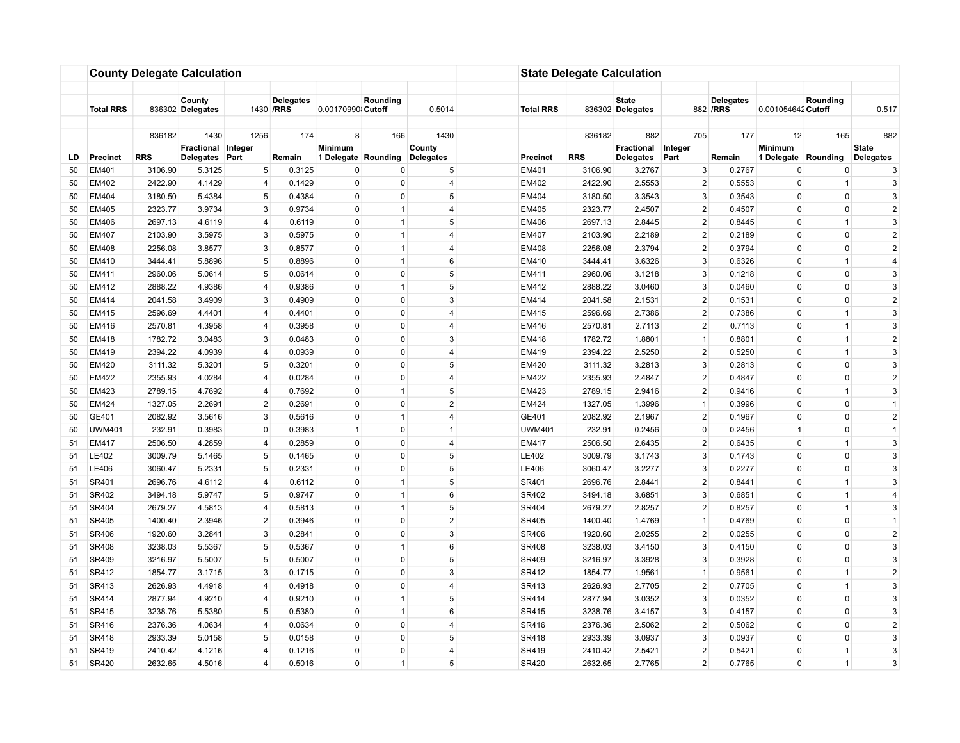|          |                  |                    | <b>County Delegate Calculation</b> |                     |                                |                         |                            |                 |                       | <b>State Delegate Calculation</b> |                                  |                                |                               |                         |                              |                     |
|----------|------------------|--------------------|------------------------------------|---------------------|--------------------------------|-------------------------|----------------------------|-----------------|-----------------------|-----------------------------------|----------------------------------|--------------------------------|-------------------------------|-------------------------|------------------------------|---------------------|
|          |                  |                    |                                    |                     |                                |                         |                            |                 |                       |                                   |                                  |                                |                               |                         |                              |                     |
|          | <b>Total RRS</b> |                    | County<br>836302 Delegates         |                     | <b>Delegates</b><br>1430 / RRS | 0.00170990 Cutoff       | Rounding                   | 0.5014          | <b>Total RRS</b>      |                                   | <b>State</b><br>836302 Delegates |                                | <b>Delegates</b><br>882 / RRS | 0.001054642 Cutoff      | Rounding                     | 0.517               |
|          |                  |                    |                                    |                     | 174                            |                         | 166                        |                 |                       |                                   |                                  |                                | 177                           |                         |                              |                     |
|          |                  | 836182             | 1430<br>Fractional Integer         | 1256                |                                | 8<br>Minimum            |                            | 1430<br>County  |                       | 836182                            | 882<br>Fractional                | 705<br>Integer                 |                               | 12<br>Minimum           | 165                          | 882<br><b>State</b> |
| LD.      | <b>Precinct</b>  | <b>RRS</b>         | Delegates                          | Part                | Remain                         | 1 Delegate Rounding     |                            | Delegates       | <b>Precinct</b>       | <b>RRS</b>                        | Delegates                        | Part                           | Remain                        | 1 Delegate Rounding     |                              | Delegates           |
| 50       | EM401            | 3106.90            | 5.3125                             | 5                   | 0.3125                         | 0                       | 0                          | 5               | EM401                 | 3106.90                           | 3.2767                           | 3                              | 0.2767                        | $\mathbf 0$             | 0                            | 3                   |
| 50       | EM402            | 2422.90            | 4.1429                             | $\overline{4}$      | 0.1429                         | $\mathbf 0$             | $\mathbf 0$                | $\overline{4}$  | EM402                 | 2422.90                           | 2.5553                           | $\overline{2}$                 | 0.5553                        | $\mathbf 0$             | $\overline{1}$               | 3                   |
| 50       | <b>EM404</b>     | 3180.50            | 5.4384                             | 5                   | 0.4384                         | $\Omega$                | $\Omega$                   | 5               | <b>EM404</b>          | 3180.50                           | 3.3543                           | 3                              | 0.3543                        | $\Omega$                | $\mathbf 0$                  | 3                   |
| 50       | <b>EM405</b>     | 2323.77            | 3.9734                             | 3                   | 0.9734                         | $\mathbf 0$             | $\mathbf{1}$               | $\overline{4}$  | <b>EM405</b>          | 2323.77                           | 2.4507                           | $\overline{2}$                 | 0.4507                        | 0                       | $\Omega$                     | $\overline{2}$      |
| 50       | <b>EM406</b>     | 2697.13            | 4.6119                             | $\overline{4}$      | 0.6119                         | $\mathbf 0$             | $\overline{1}$             | 5               | <b>EM406</b>          | 2697.13                           | 2.8445                           | $\overline{2}$                 | 0.8445                        | $\Omega$                | $\overline{1}$               | 3                   |
| 50       | <b>EM407</b>     | 2103.90            | 3.5975                             | 3                   | 0.5975                         | $\mathbf 0$             | $\mathbf{1}$               | $\overline{4}$  | <b>EM407</b>          | 2103.90                           | 2.2189                           | $\overline{2}$                 | 0.2189                        | $\Omega$                | $\mathbf 0$                  | $\overline{2}$      |
| 50       | <b>EM408</b>     | 2256.08            | 3.8577                             | 3                   | 0.8577                         | $\mathbf 0$             | $\mathbf{1}$               | $\overline{4}$  | <b>EM408</b>          | 2256.08                           | 2.3794                           | $\overline{2}$                 | 0.3794                        | 0                       | $\mathbf 0$                  | $\overline{2}$      |
| 50       | EM410            | 3444.41            | 5.8896                             | 5                   | 0.8896                         | $\Omega$                | $\mathbf{1}$               | 6               | EM410                 | 3444.41                           | 3.6326                           | 3                              | 0.6326                        | $\Omega$                | $\mathbf{1}$                 | $\overline{4}$      |
| 50       | EM411            | 2960.06            | 5.0614                             | 5 <sup>5</sup>      | 0.0614                         | $\mathbf 0$             | $\mathbf 0$                | $5\overline{5}$ | EM411                 | 2960.06                           | 3.1218                           | 3                              | 0.1218                        | $\mathbf 0$             | $\mathbf 0$                  | 3                   |
| 50       | EM412            | 2888.22            | 4.9386                             | $\overline{4}$      | 0.9386                         | 0                       | $\mathbf{1}$               | 5               | EM412                 | 2888.22                           | 3.0460                           | 3                              | 0.0460                        | $\Omega$                | $\mathbf 0$                  | 3                   |
| 50       | EM414            | 2041.58            | 3.4909                             | 3                   | 0.4909                         | $\mathbf 0$             | $\mathbf 0$                | 3               | EM414                 | 2041.58                           | 2.1531                           | $\overline{2}$                 | 0.1531                        | $\Omega$                | $\mathbf 0$                  | $\overline{2}$      |
| 50       | EM415            | 2596.69            | 4.4401                             | 4                   | 0.4401                         | $\mathbf 0$             | $\mathbf{0}$               | $\overline{4}$  | <b>EM415</b>          | 2596.69                           | 2.7386                           | $\overline{2}$                 | 0.7386                        | $\mathbf 0$             | $\mathbf{1}$                 | $\mathbf{3}$        |
| 50       | EM416            | 2570.81            | 4.3958                             | $\overline{4}$      | 0.3958                         | $\mathbf 0$             | $\mathbf 0$                | $\overline{4}$  | EM416                 | 2570.81                           | 2.7113                           | $\overline{2}$                 | 0.7113                        | $\Omega$                | $\mathbf{1}$                 | 3                   |
| 50       | EM418            | 1782.72            | 3.0483                             | 3                   | 0.0483                         | $\pmb{0}$               | $\mathbf 0$                | 3               | EM418                 | 1782.72                           | 1.8801                           | $\mathbf{1}$                   | 0.8801                        | 0                       | $\mathbf{1}$                 | $\overline{2}$      |
| 50       | EM419            | 2394.22            | 4.0939                             | $\overline{4}$      | 0.0939                         | $\mathbf 0$             | $\Omega$                   | 4               | EM419                 | 2394.22                           | 2.5250                           | $\overline{2}$                 | 0.5250                        | $\Omega$                | $\mathbf{1}$                 | 3                   |
| 50       | EM420            | 3111.32            | 5.3201                             | $\,$ 5 $\,$         | 0.3201                         | $\mathbf 0$             | $\mathbf 0$                | 5               | <b>EM420</b>          | 3111.32                           | 3.2813                           | 3                              | 0.2813                        | $\Omega$                | $\mathbf 0$                  | 3                   |
| 50       | <b>EM422</b>     | 2355.93            | 4.0284                             | $\overline{4}$      | 0.0284                         | $\mathbf 0$             | $\mathbf 0$                | 4               | <b>EM422</b>          | 2355.93                           | 2.4847                           | $\overline{2}$                 | 0.4847                        | $\Omega$                | $\mathbf 0$                  | $\sqrt{2}$          |
| 50       | <b>EM423</b>     | 2789.15            | 4.7692                             | $\overline{4}$      | 0.7692                         | $\Omega$                | $\mathbf{1}$               | 5               | <b>EM423</b>          | 2789.15                           | 2.9416                           | $\overline{2}$                 | 0.9416                        | $\Omega$                | $\overline{1}$               | 3                   |
| 50       | <b>EM424</b>     | 1327.05            | 2.2691                             | $2^{\circ}$         | 0.2691                         | $\mathbf 0$             | $\mathbf 0$                | $\overline{2}$  | <b>EM424</b>          | 1327.05                           | 1.3996                           | $\mathbf{1}$                   | 0.3996                        | $\mathbf 0$             | $\mathbf 0$                  | $\overline{1}$      |
| 50       | GE401            | 2082.92            | 3.5616                             | 3                   | 0.5616                         | $\mathbf 0$             | $\mathbf{1}$               | 4               | GE401                 | 2082.92                           | 2.1967                           | $\overline{2}$                 | 0.1967                        | $\Omega$                | $\mathbf 0$                  | $\overline{2}$      |
| 50       | <b>UWM401</b>    | 232.91             | 0.3983                             | $\pmb{0}$           | 0.3983                         | $\mathbf{1}$            | $\mathbf{0}$               | 1               | <b>UWM401</b>         | 232.91                            | 0.2456                           | $\mathbf 0$                    | 0.2456                        | $\overline{1}$          | 0                            | $\mathbf{1}$        |
| 51       | EM417            | 2506.50            | 4.2859                             | 4                   | 0.2859                         | $\mathbf 0$             | $\mathbf{0}$               | $\overline{4}$  | EM417                 | 2506.50                           | 2.6435                           | $\overline{2}$                 | 0.6435                        | $\mathbf 0$             | $\mathbf{1}$                 | $\mathbf{3}$        |
| 51       | LE402            | 3009.79            | 5.1465                             | 5                   | 0.1465                         | $\mathbf 0$             | $\Omega$                   | 5               | LE402                 | 3009.79                           | 3.1743                           | 3                              | 0.1743                        | $\Omega$                | $\mathbf 0$                  | 3                   |
| 51       | LE406            | 3060.47            | 5.2331                             | 5                   | 0.2331                         | $\pmb{0}$               | $\mathbf 0$                | 5               | LE406                 | 3060.47                           | 3.2277                           | 3                              | 0.2277                        | 0                       | $\mathbf 0$                  | 3                   |
| 51       | SR401            | 2696.76            | 4.6112                             | $\overline{4}$      | 0.6112                         | $\mathbf 0$             | $\overline{1}$             | 5               | SR401                 | 2696.76                           | 2.8441                           | $\overline{2}$                 | 0.8441                        | $\Omega$                | $\mathbf{1}$                 | 3                   |
| 51       | SR402            | 3494.18            | 5.9747                             | 5                   | 0.9747                         | $\pmb{0}$               | $\mathbf{1}$               | 6               | SR402                 | 3494.18                           | 3.6851                           | 3                              | 0.6851                        | $\mathbf 0$             | $\mathbf{1}$                 | $\overline{4}$      |
| 51       | SR404            | 2679.27            | 4.5813                             | 4                   | 0.5813                         | $\mathbf 0$             | $\mathbf{1}$               | 5               | SR404                 | 2679.27                           | 2.8257                           | $\overline{2}$                 | 0.8257                        | $\mathbf 0$             | $\mathbf{1}$                 | 3                   |
| 51       | SR405            | 1400.40            | 2.3946                             | $\overline{2}$      | 0.3946                         | $\mathbf 0$             | $\mathbf 0$                | $\overline{2}$  | SR405                 | 1400.40                           | 1.4769                           | $\mathbf{1}$                   | 0.4769                        | 0                       | $\mathbf 0$                  | $\overline{1}$      |
| 51       | SR406            | 1920.60            | 3.2841                             | 3                   | 0.2841                         | $\mathbf 0$             | $\mathbf 0$                | 3               | SR406                 | 1920.60                           | 2.0255                           | $\overline{2}$                 | 0.0255                        | 0                       | $\mathbf 0$                  | $\sqrt{2}$          |
| 51       | <b>SR408</b>     | 3238.03            | 5.5367                             | 5                   | 0.5367                         | $\Omega$                | $\overline{1}$             | 6<br>5          | <b>SR408</b>          | 3238.03                           | 3.4150                           | 3                              | 0.4150                        | $\Omega$<br>$\Omega$    | $\mathbf 0$<br>$\mathbf 0$   | 3                   |
| 51       | SR409            | 3216.97            | 5.5007                             | 5                   | 0.5007                         | $\mathbf 0$             | $\mathbf{0}$               |                 | SR409                 | 3216.97                           | 3.3928                           | 3                              | 0.3928                        |                         |                              | 3                   |
| 51       | SR412            | 1854.77            | 3.1715                             | 3<br>$\overline{4}$ | 0.1715                         | $\mathbf 0$<br>$\Omega$ | $\mathbf 0$<br>$\Omega$    | 3<br>4          | SR412                 | 1854.77                           | 1.9561                           | $\mathbf{1}$<br>$\overline{2}$ | 0.9561                        | $\Omega$<br>$\Omega$    | $\mathbf{1}$<br>$\mathbf{1}$ | $\overline{2}$      |
| 51       | SR413<br>SR414   | 2626.93            | 4.4918                             |                     | 0.4918                         |                         |                            | 5               | SR413                 | 2626.93                           | 2.7705<br>3.0352                 |                                | 0.7705                        |                         | $\mathbf 0$                  | 3<br>3              |
| 51       | SR415            | 2877.94            | 4.9210                             | $\overline{4}$<br>5 | 0.9210                         | $\mathbf 0$             | $\mathbf{1}$               | 6               | SR414                 | 2877.94                           |                                  | 3<br>3                         | 0.0352                        | 0                       | $\mathbf 0$                  | 3                   |
| 51       |                  | 3238.76            | 5.5380                             | $\overline{4}$      | 0.5380                         | 0<br>$\mathbf 0$        | $\mathbf{1}$               | 4               | SR415                 | 3238.76                           | 3.4157                           | $\overline{2}$                 | 0.4157                        | $\Omega$<br>$\mathbf 0$ |                              | $\overline{2}$      |
| 51       | SR416<br>SR418   | 2376.36<br>2933.39 | 4.0634<br>5.0158                   | 5                   | 0.0634<br>0.0158               | $\mathbf 0$             | $\mathbf 0$<br>$\mathbf 0$ | 5 <sup>5</sup>  | SR416<br><b>SR418</b> | 2376.36<br>2933.39                | 2.5062<br>3.0937                 | 3                              | 0.5062<br>0.0937              | $\mathbf 0$             | 0<br>$\mathbf 0$             | $\mathbf{3}$        |
| 51<br>51 | SR419            | 2410.42            | 4.1216                             | $\overline{4}$      | 0.1216                         | $\Omega$                | $\Omega$                   | 4               | SR419                 | 2410.42                           | 2.5421                           | $\overline{2}$                 | 0.5421                        | $\Omega$                | $\mathbf{1}$                 | 3                   |
|          |                  | 2632.65            |                                    | $\overline{4}$      |                                | $\mathbf 0$             |                            | 5 <sup>5</sup>  |                       |                                   | 2.7765                           | $\overline{2}$                 |                               | $\mathbf 0$             | $\mathbf{1}$                 | 3                   |
| 51       | SR420            |                    | 4.5016                             |                     | 0.5016                         |                         | $\mathbf{1}$               |                 | SR420                 | 2632.65                           |                                  |                                | 0.7765                        |                         |                              |                     |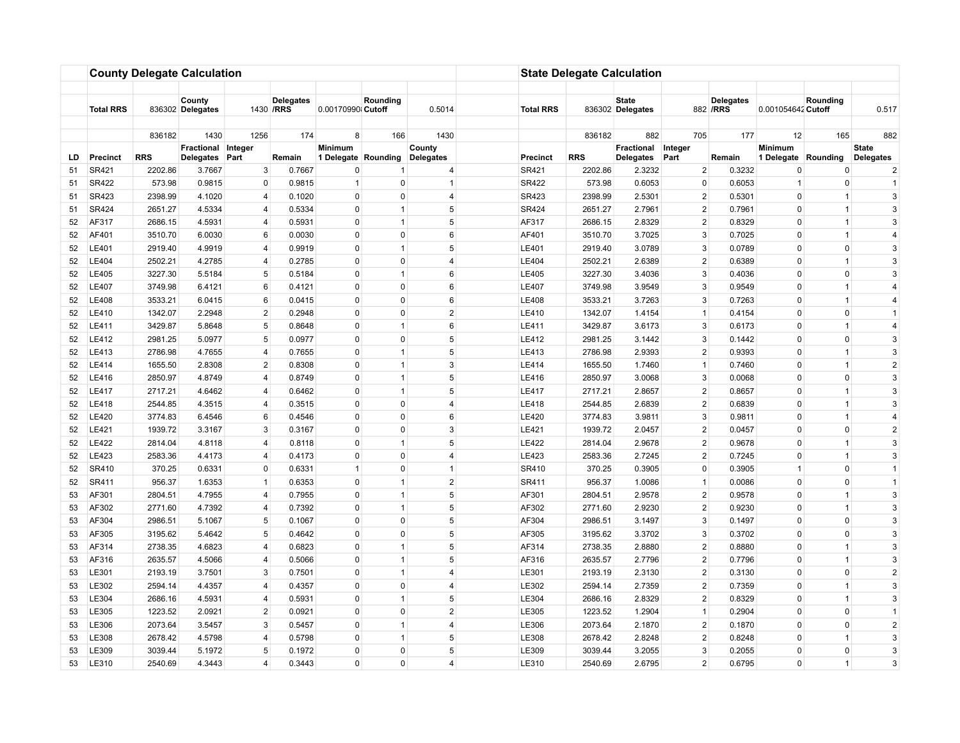|     |                  |            | <b>County Delegate Calculation</b> |                 |                                |                     |                |                |                  | <b>State Delegate Calculation</b> |                                  |                |                               |                     |                |                     |
|-----|------------------|------------|------------------------------------|-----------------|--------------------------------|---------------------|----------------|----------------|------------------|-----------------------------------|----------------------------------|----------------|-------------------------------|---------------------|----------------|---------------------|
|     |                  |            |                                    |                 |                                |                     |                |                |                  |                                   |                                  |                |                               |                     |                |                     |
|     | <b>Total RRS</b> |            | County<br>836302 Delegates         |                 | <b>Delegates</b><br>1430 / RRS | 0.00170990 Cutoff   | Rounding       | 0.5014         | <b>Total RRS</b> |                                   | <b>State</b><br>836302 Delegates |                | <b>Delegates</b><br>882 / RRS | 0.001054642 Cutoff  | Rounding       | 0.517               |
|     |                  |            |                                    |                 |                                |                     |                |                |                  |                                   |                                  |                |                               |                     |                |                     |
|     |                  | 836182     | 1430<br>Fractional Integer         | 1256            | 174                            | 8<br>Minimum        | 166            | 1430<br>County |                  | 836182                            | 882<br>Fractional                | 705<br>Integer | 177                           | 12<br>Minimum       | 165            | 882<br><b>State</b> |
| LD. | <b>Precinct</b>  | <b>RRS</b> | <b>Delegates</b>                   | Part            | Remain                         | 1 Delegate Rounding |                | Delegates      | <b>Precinct</b>  | <b>RRS</b>                        | Delegates                        | Part           | Remain                        | 1 Delegate Rounding |                | Delegates           |
| 51  | SR421            | 2202.86    | 3.7667                             | 3               | 0.7667                         | 0                   |                | 4              | SR421            | 2202.86                           | 2.3232                           | $\overline{2}$ | 0.3232                        | 0                   | 0              | $\overline{2}$      |
| 51  | SR422            | 573.98     | 0.9815                             | $\mathbf 0$     | 0.9815                         | $\mathbf{1}$        | $\mathbf 0$    | $\mathbf{1}$   | <b>SR422</b>     | 573.98                            | 0.6053                           | $\mathbf 0$    | 0.6053                        | $\overline{1}$      | $\mathbf 0$    | $\overline{1}$      |
| 51  | SR423            | 2398.99    | 4.1020                             | $\overline{4}$  | 0.1020                         | $\Omega$            | $\Omega$       | $\overline{4}$ | <b>SR423</b>     | 2398.99                           | 2.5301                           | $\overline{2}$ | 0.5301                        | 0                   | $\mathbf{1}$   | 3                   |
| 51  | SR424            | 2651.27    | 4.5334                             | $\overline{4}$  | 0.5334                         | $\mathbf 0$         | $\mathbf{1}$   | 5              | <b>SR424</b>     | 2651.27                           | 2.7961                           | $\overline{2}$ | 0.7961                        | 0                   | $\mathbf{1}$   | 3                   |
| 52  | AF317            | 2686.15    | 4.5931                             | $\overline{4}$  | 0.5931                         | $\mathbf 0$         | $\mathbf{1}$   | 5              | AF317            | 2686.15                           | 2.8329                           | $\overline{2}$ | 0.8329                        | $\Omega$            | $\mathbf{1}$   | 3                   |
| 52  | AF401            | 3510.70    | 6.0030                             | 6               | 0.0030                         | $\mathbf 0$         | $\mathbf{0}$   | 6              | AF401            | 3510.70                           | 3.7025                           | 3              | 0.7025                        | $\Omega$            | $\mathbf{1}$   | $\overline{4}$      |
| 52  | LE401            | 2919.40    | 4.9919                             | 4               | 0.9919                         | $\mathbf 0$         | $\mathbf{1}$   | 5 <sup>1</sup> | LE401            | 2919.40                           | 3.0789                           | 3              | 0.0789                        | 0                   | $\mathbf 0$    | $\mathbf{3}$        |
| 52  | LE404            | 2502.21    | 4.2785                             | $\overline{4}$  | 0.2785                         | $\Omega$            | 0              | $\overline{4}$ | LE404            | 2502.21                           | 2.6389                           | 2              | 0.6389                        | 0                   | $\mathbf{1}$   | 3                   |
| 52  | LE405            | 3227.30    | 5.5184                             | 5 <sup>5</sup>  | 0.5184                         | $\mathbf 0$         | $\mathbf{1}$   | 6              | LE405            | 3227.30                           | 3.4036                           | 3              | 0.4036                        | $\mathbf 0$         | $\mathbf 0$    | 3                   |
| 52  | <b>LE407</b>     | 3749.98    | 6.4121                             | 6               | 0.4121                         | $\mathbf 0$         | $\mathbf 0$    | 6              | <b>LE407</b>     | 3749.98                           | 3.9549                           | 3              | 0.9549                        | $\Omega$            | $\mathbf{1}$   | 4                   |
| 52  | LE408            | 3533.21    | 6.0415                             | 6               | 0.0415                         | $\mathbf 0$         | $\mathbf{0}$   | 6              | LE408            | 3533.21                           | 3.7263                           | 3              | 0.7263                        | $\Omega$            | $\mathbf{1}$   | $\overline{4}$      |
| 52  | LE410            | 1342.07    | 2.2948                             | $\overline{2}$  | 0.2948                         | $\mathbf 0$         | $\mathbf{0}$   | $\overline{2}$ | LE410            | 1342.07                           | 1.4154                           | $\mathbf{1}$   | 0.4154                        | $\mathbf 0$         | $\mathbf 0$    | $\overline{1}$      |
| 52  | LE411            | 3429.87    | 5.8648                             | 5               | 0.8648                         | $\mathbf 0$         | $\mathbf{1}$   | 6              | LE411            | 3429.87                           | 3.6173                           | 3              | 0.6173                        | $\Omega$            | $\mathbf{1}$   | $\overline{4}$      |
| 52  | LE412            | 2981.25    | 5.0977                             | 5 <sup>5</sup>  | 0.0977                         | $\pmb{0}$           | $\mathbf 0$    | 5              | <b>LE412</b>     | 2981.25                           | 3.1442                           | 3              | 0.1442                        | 0                   | $\mathbf 0$    | 3                   |
| 52  | LE413            | 2786.98    | 4.7655                             | $\overline{4}$  | 0.7655                         | $\mathbf 0$         | $\mathbf{1}$   | 5              | LE413            | 2786.98                           | 2.9393                           | $\overline{2}$ | 0.9393                        | $\Omega$            | $\mathbf{1}$   | 3                   |
| 52  | <b>LE414</b>     | 1655.50    | 2.8308                             | $\overline{c}$  | 0.8308                         | $\mathbf 0$         | $\mathbf{1}$   | 3              | LE414            | 1655.50                           | 1.7460                           | $\mathbf{1}$   | 0.7460                        | $\Omega$            | $\mathbf{1}$   | $\sqrt{2}$          |
| 52  | LE416            | 2850.97    | 4.8749                             | $\overline{4}$  | 0.8749                         | $\Omega$            | $\mathbf{1}$   | 5              | LE416            | 2850.97                           | 3.0068                           | 3              | 0.0068                        | $\Omega$            | $\mathbf 0$    | 3                   |
| 52  | <b>LE417</b>     | 2717.21    | 4.6462                             | $\overline{4}$  | 0.6462                         | $\Omega$            | $\mathbf{1}$   | 5              | <b>LE417</b>     | 2717.21                           | 2.8657                           | $\overline{2}$ | 0.8657                        | $\Omega$            | $\mathbf{1}$   | 3                   |
| 52  | LE418            | 2544.85    | 4.3515                             | $\overline{4}$  | 0.3515                         | $\mathbf 0$         | $\mathbf 0$    | $\overline{4}$ | LE418            | 2544.85                           | 2.6839                           | $\overline{2}$ | 0.6839                        | $\mathbf 0$         | $\mathbf{1}$   | 3                   |
| 52  | LE420            | 3774.83    | 6.4546                             | 6               | 0.4546                         | $\mathbf 0$         | 0              | 6              | LE420            | 3774.83                           | 3.9811                           | 3              | 0.9811                        | $\Omega$            | $\mathbf{1}$   | $\overline{4}$      |
| 52  | <b>LE421</b>     | 1939.72    | 3.3167                             | 3               | 0.3167                         | $\mathbf 0$         | $\mathbf{0}$   | 3              | LE421            | 1939.72                           | 2.0457                           | $\overline{2}$ | 0.0457                        | $\Omega$            | 0              | $\overline{2}$      |
| 52  | <b>LE422</b>     | 2814.04    | 4.8118                             | 4               | 0.8118                         | $\mathbf 0$         | $\mathbf{1}$   | 5              | <b>LE422</b>     | 2814.04                           | 2.9678                           | $\overline{2}$ | 0.9678                        | $\mathbf 0$         | $\mathbf{1}$   | $\mathbf{3}$        |
| 52  | LE423            | 2583.36    | 4.4173                             | $\overline{4}$  | 0.4173                         | $\mathbf 0$         | $\mathbf 0$    | $\overline{4}$ | LE423            | 2583.36                           | 2.7245                           | $\overline{2}$ | 0.7245                        | $\mathbf 0$         | $\mathbf{1}$   | 3                   |
| 52  | SR410            | 370.25     | 0.6331                             | $\mathbf 0$     | 0.6331                         | $\mathbf{1}$        | $\mathbf 0$    | $\overline{1}$ | SR410            | 370.25                            | 0.3905                           | 0              | 0.3905                        | $\overline{1}$      | $\mathbf 0$    | $\overline{1}$      |
| 52  | SR411            | 956.37     | 1.6353                             | $\mathbf{1}$    | 0.6353                         | $\mathbf 0$         | $\overline{1}$ | $\overline{2}$ | SR411            | 956.37                            | 1.0086                           | $\mathbf{1}$   | 0.0086                        | $\Omega$            | $\mathbf 0$    | $\overline{1}$      |
| 53  | AF301            | 2804.51    | 4.7955                             | 4               | 0.7955                         | $\pmb{0}$           | $\mathbf{1}$   | 5              | AF301            | 2804.51                           | 2.9578                           | $\overline{2}$ | 0.9578                        | $\mathbf 0$         | $\mathbf{1}$   | 3                   |
| 53  | AF302            | 2771.60    | 4.7392                             | 4               | 0.7392                         | $\mathbf 0$         | $\mathbf{1}$   | 5 <sup>1</sup> | AF302            | 2771.60                           | 2.9230                           | $\overline{2}$ | 0.9230                        | $\mathbf 0$         | $\mathbf{1}$   | $\mathbf{3}$        |
| 53  | AF304            | 2986.51    | 5.1067                             | 5               | 0.1067                         | $\mathbf 0$         | $\mathbf 0$    | 5              | AF304            | 2986.51                           | 3.1497                           | 3              | 0.1497                        | 0                   | $\mathbf 0$    | 3                   |
| 53  | AF305            | 3195.62    | 5.4642                             | $5\phantom{.0}$ | 0.4642                         | $\mathbf 0$         | $\Omega$       | 5              | AF305            | 3195.62                           | 3.3702                           | 3              | 0.3702                        | 0                   | $\mathbf 0$    | 3                   |
| 53  | AF314            | 2738.35    | 4.6823                             | $\overline{4}$  | 0.6823                         | $\Omega$            | $\overline{1}$ | 5              | AF314            | 2738.35                           | 2.8880                           | 2              | 0.8880                        | $\Omega$            | $\overline{1}$ | 3                   |
| 53  | AF316            | 2635.57    | 4.5066                             | $\overline{4}$  | 0.5066                         | $\mathbf 0$         | $\mathbf{1}$   | 5              | AF316            | 2635.57                           | 2.7796                           | $\overline{2}$ | 0.7796                        | $\Omega$            | $\mathbf{1}$   | 3                   |
| 53  | LE301            | 2193.19    | 3.7501                             | 3               | 0.7501                         | $\mathbf 0$         | $\mathbf{1}$   | $\overline{4}$ | LE301            | 2193.19                           | 2.3130                           | $\overline{2}$ | 0.3130                        | $\Omega$            | $\mathbf 0$    | $\overline{2}$      |
| 53  | LE302            | 2594.14    | 4.4357                             | $\overline{4}$  | 0.4357                         | $\Omega$            | $\Omega$       | $\overline{4}$ | LE302            | 2594.14                           | 2.7359                           | $\overline{2}$ | 0.7359                        | $\Omega$            | $\mathbf{1}$   | 3                   |
| 53  | LE304            | 2686.16    | 4.5931                             | $\overline{4}$  | 0.5931                         | $\mathbf 0$         | $\mathbf{1}$   | 5 <sup>1</sup> | LE304            | 2686.16                           | 2.8329                           | $\overline{2}$ | 0.8329                        | 0                   | $\mathbf{1}$   | 3                   |
| 53  | LE305            | 1223.52    | 2.0921                             | $\overline{2}$  | 0.0921                         | $\mathbf 0$         | $\mathbf 0$    | $\overline{2}$ | LE305            | 1223.52                           | 1.2904                           | $\mathbf{1}$   | 0.2904                        | $\Omega$            | $\mathbf 0$    | $\overline{1}$      |
| 53  | LE306            | 2073.64    | 3.5457                             | 3               | 0.5457                         | $\pmb{0}$           | $\mathbf{1}$   | $\overline{4}$ | LE306            | 2073.64                           | 2.1870                           | $\overline{2}$ | 0.1870                        | 0                   | 0              | $\overline{2}$      |
| 53  | LE308            | 2678.42    | 4.5798                             | 4               | 0.5798                         | $\mathbf 0$         | $\mathbf{1}$   | 5 <sup>1</sup> | LE308            | 2678.42                           | 2.8248                           | $\overline{2}$ | 0.8248                        | $\mathbf 0$         | $\mathbf{1}$   | $\mathbf{3}$        |
| 53  | LE309            | 3039.44    | 5.1972                             | 5               | 0.1972                         | $\Omega$            | $\Omega$       | 5              | LE309            | 3039.44                           | 3.2055                           | 3              | 0.2055                        | $\Omega$            | $\mathbf 0$    | 3                   |
| 53  | LE310            | 2540.69    | 4.3443                             | $\overline{4}$  | 0.3443                         | $\mathbf 0$         | $\mathbf 0$    | 4              | LE310            | 2540.69                           | 2.6795                           | $\overline{2}$ | 0.6795                        | $\mathbf 0$         | $\mathbf{1}$   | 3                   |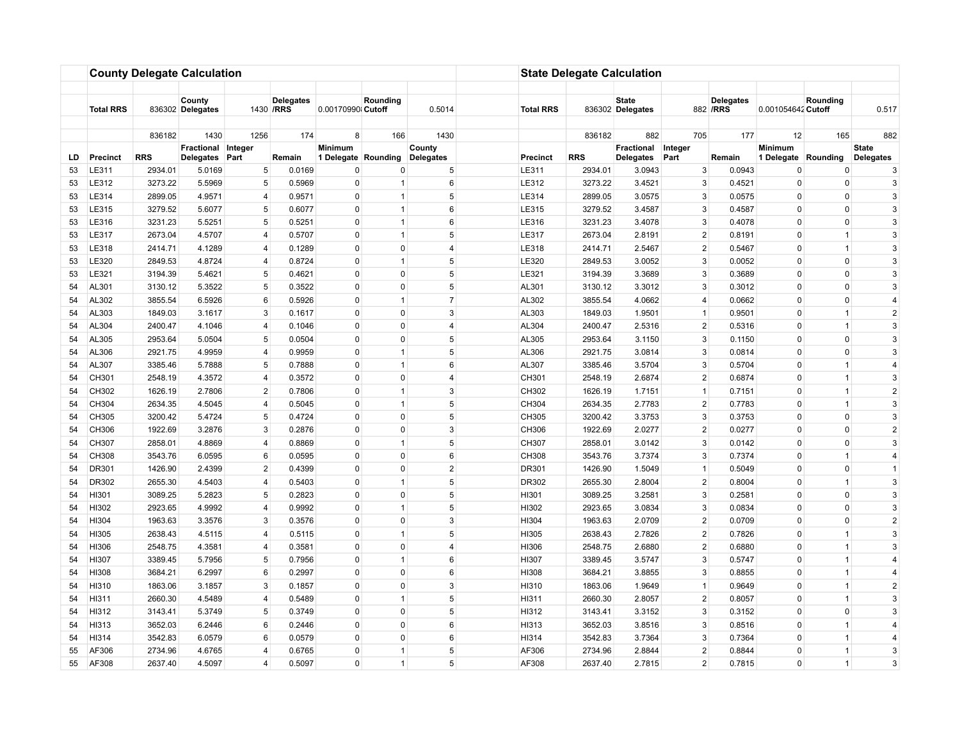|          |                  |                    | <b>County Delegate Calculation</b> |                     |                                |                            |                              |                      |                         | <b>State Delegate Calculation</b> |                                  |                     |                               |                         |                              |                     |
|----------|------------------|--------------------|------------------------------------|---------------------|--------------------------------|----------------------------|------------------------------|----------------------|-------------------------|-----------------------------------|----------------------------------|---------------------|-------------------------------|-------------------------|------------------------------|---------------------|
|          |                  |                    |                                    |                     |                                |                            |                              |                      |                         |                                   |                                  |                     |                               |                         |                              |                     |
|          | <b>Total RRS</b> |                    | County<br>836302 Delegates         |                     | <b>Delegates</b><br>1430 / RRS | 0.00170990 Cutoff          | Rounding                     | 0.5014               | <b>Total RRS</b>        |                                   | <b>State</b><br>836302 Delegates |                     | <b>Delegates</b><br>882 / RRS | 0.001054642 Cutoff      | Rounding                     | 0.517               |
|          |                  |                    |                                    |                     | 174                            |                            | 166                          |                      |                         |                                   | 882                              |                     | 177                           |                         | 165                          |                     |
|          |                  | 836182             | 1430<br>Fractional Integer         | 1256                |                                | 8<br>Minimum               |                              | 1430<br>County       |                         | 836182                            | Fractional                       | 705<br>Integer      |                               | 12<br><b>Minimum</b>    |                              | 882<br><b>State</b> |
| LD       | <b>Precinct</b>  | <b>RRS</b>         | Delegates                          | Part                | Remain                         | 1 Delegate Rounding        |                              | Delegates            | <b>Precinct</b>         | <b>RRS</b>                        | <b>Delegates</b>                 | Part                | Remain                        | 1 Delegate Rounding     |                              | Delegates           |
| 53       | LE311            | 2934.01            | 5.0169                             | $\,$ 5 $\,$         | 0.0169                         | 0                          | 0                            | $\sqrt{5}$           | LE311                   | 2934.01                           | 3.0943                           | 3                   | 0.0943                        | 0                       | 0                            | 3                   |
| 53       | LE312            | 3273.22            | 5.5969                             | 5                   | 0.5969                         | $\pmb{0}$                  | $\overline{1}$               | 6                    | LE312                   | 3273.22                           | 3.4521                           | 3                   | 0.4521                        | 0                       | 0                            | 3                   |
| 53       | LE314            | 2899.05            | 4.9571                             | $\overline{4}$      | 0.9571                         | $\mathbf 0$                | $\mathbf{1}$                 | 5                    | LE314                   | 2899.05                           | 3.0575                           | 3                   | 0.0575                        | $\Omega$                | $\mathbf 0$                  | 3                   |
| 53       | LE315            | 3279.52            | 5.6077                             | $\,$ 5 $\,$         | 0.6077                         | $\Omega$                   | $\mathbf{1}$                 | 6                    | LE315                   | 3279.52                           | 3.4587                           | 3                   | 0.4587                        | 0                       | $\Omega$                     | 3                   |
| 53       | LE316            | 3231.23            | 5.5251                             | 5                   | 0.5251                         | $\Omega$                   | $\overline{1}$               | 6                    | LE316                   | 3231.23                           | 3.4078                           | 3                   | 0.4078                        | $\Omega$                | $\Omega$                     | 3                   |
| 53       | LE317            | 2673.04            | 4.5707                             | 4                   | 0.5707                         | 0                          | $\mathbf{1}$                 |                      | 5<br>LE317              | 2673.04                           | 2.8191                           | $\overline{2}$      | 0.8191                        | $\Omega$                | $\mathbf{1}$                 | 3                   |
| 53       | LE318            | 2414.71            | 4.1289                             | $\overline{4}$      | 0.1289                         | $\mathbf 0$                | $\mathbf{0}$                 | $\overline{4}$       | LE318                   | 2414.71                           | 2.5467                           | $\overline{2}$      | 0.5467                        | $\mathbf 0$             | $\mathbf{1}$                 | 3                   |
| 53       | LE320            | 2849.53            | 4.8724                             | $\overline{4}$      | 0.8724                         | $\Omega$                   | $\mathbf{1}$                 | 5                    | LE320                   | 2849.53                           | 3.0052                           | 3                   | 0.0052                        | $\Omega$                | $\mathbf 0$                  | 3                   |
| 53       | LE321            | 3194.39            | 5.4621                             | $5\overline{)}$     | 0.4621                         | $\mathbf 0$                | $\Omega$                     |                      | 5 <sup>5</sup><br>LE321 | 3194.39                           | 3.3689                           | 3                   | 0.3689                        | 0                       | $\Omega$                     | 3                   |
| 54       | AL301            | 3130.12            | 5.3522                             | 5                   | 0.3522                         | $\mathbf 0$                | $\Omega$                     | 5                    | AL301                   | 3130.12                           | 3.3012                           | 3                   | 0.3012                        | $\Omega$                | $\mathbf 0$                  | 3                   |
| 54       | AL302            | 3855.54            | 6.5926                             | 6                   | 0.5926                         | $\mathbf 0$                | $\mathbf{1}$                 | $\overline{7}$       | AL302                   | 3855.54                           | 4.0662                           | $\overline{4}$      | 0.0662                        | $\Omega$                | $\mathbf 0$                  | $\overline{4}$      |
| 54       | AL303            | 1849.03            | 3.1617                             | 3                   | 0.1617                         | $\mathbf 0$                | $\mathbf{0}$                 | 3                    | AL303                   | 1849.03                           | 1.9501                           | $\mathbf{1}$        | 0.9501                        | 0                       | $\mathbf{1}$                 | $\overline{2}$      |
| 54       | AL304            | 2400.47            | 4.1046                             | $\overline{4}$      | 0.1046                         | $\mathbf 0$                | $\mathbf 0$                  | 4                    | AL304                   | 2400.47                           | 2.5316                           | $\overline{2}$      | 0.5316                        | $\Omega$                | $\mathbf{1}$                 | $\mathbf{3}$        |
| 54       | AL305            | 2953.64            | 5.0504                             | 5 <sup>5</sup>      | 0.0504                         | $\mathbf 0$                | $\mathbf 0$                  | $5\overline{5}$<br>5 | AL305                   | 2953.64                           | 3.1150                           | 3                   | 0.1150                        | $\mathbf 0$             | $\mathbf 0$                  | $\mathbf{3}$        |
| 54       | AL306            | 2921.75            | 4.9959                             | $\overline{4}$      | 0.9959                         | $\mathbf 0$                | $\overline{1}$               |                      | AL306                   | 2921.75                           | 3.0814                           | 3                   | 0.0814                        | $\mathbf 0$             | $\mathbf 0$                  | 3                   |
| 54       | AL307            | 3385.46            | 5.7888                             | 5                   | 0.7888                         | $\mathbf 0$<br>$\mathbf 0$ | $\mathbf{1}$<br>$\mathbf{0}$ | 6                    | AL307                   | 3385.46                           | 3.5704                           | 3<br>$\overline{2}$ | 0.5704                        | $\Omega$                | $\mathbf{1}$                 | $\overline{4}$<br>3 |
| 54       | CH301<br>CH302   | 2548.19            | 4.3572                             | 4<br>$\overline{2}$ | 0.3572                         | $\mathbf 0$                | $\mathbf{1}$                 | $\overline{4}$<br>3  | CH301<br>CH302          | 2548.19                           | 2.6874                           | $\mathbf{1}$        | 0.6874                        | $\mathbf 0$<br>$\Omega$ | $\mathbf{1}$<br>$\mathbf{1}$ | $\overline{2}$      |
| 54       | CH304            | 1626.19            | 2.7806<br>4.5045                   | $\overline{4}$      | 0.7806<br>0.5045               | $\pmb{0}$                  | $\mathbf{1}$                 | 5                    |                         | 1626.19                           | 1.7151                           | $\overline{2}$      | 0.7151<br>0.7783              | $\mathbf 0$             | $\mathbf{1}$                 | 3                   |
| 54<br>54 | CH305            | 2634.35<br>3200.42 | 5.4724                             | 5                   | 0.4724                         | $\mathbf 0$                | $\mathbf 0$                  | 5                    | CH304<br>CH305          | 2634.35<br>3200.42                | 2.7783<br>3.3753                 | 3                   | 0.3753                        | $\Omega$                | $\mathbf 0$                  | 3                   |
| 54       | CH306            | 1922.69            | 3.2876                             | 3                   | 0.2876                         | $\pmb{0}$                  | $\mathbf 0$                  | 3                    | CH306                   | 1922.69                           | 2.0277                           | $\overline{2}$      | 0.0277                        | $\Omega$                | 0                            | $\sqrt{2}$          |
| 54       | CH307            | 2858.01            | 4.8869                             | 4                   | 0.8869                         | $\pmb{0}$                  | $\mathbf{1}$                 |                      | 5 <sup>5</sup><br>CH307 | 2858.01                           | 3.0142                           | 3                   | 0.0142                        | 0                       | 0                            | $\mathbf{3}$        |
| 54       | CH308            | 3543.76            | 6.0595                             | 6                   | 0.0595                         | $\Omega$                   | $\Omega$                     | 6                    | CH308                   | 3543.76                           | 3.7374                           | 3                   | 0.7374                        | $\Omega$                | $\overline{1}$               | $\overline{4}$      |
| 54       | DR301            | 1426.90            | 2.4399                             | $\overline{2}$      | 0.4399                         | $\Omega$                   | $\Omega$                     | $\overline{2}$       | DR301                   | 1426.90                           | 1.5049                           | $\mathbf{1}$        | 0.5049                        | $\mathbf 0$             | $\Omega$                     | $\overline{1}$      |
| 54       | DR302            | 2655.30            | 4.5403                             | $\overline{4}$      | 0.5403                         | $\mathbf 0$                | $\overline{1}$               | 5                    | DR302                   | 2655.30                           | 2.8004                           | $\overline{2}$      | 0.8004                        | $\Omega$                | $\overline{1}$               | 3                   |
| 54       | HI301            | 3089.25            | 5.2823                             | 5                   | 0.2823                         | $\mathbf 0$                | $\Omega$                     | 5                    | HI301                   | 3089.25                           | 3.2581                           | 3                   | 0.2581                        | $\Omega$                | $\mathbf 0$                  | 3                   |
| 54       | HI302            | 2923.65            | 4.9992                             | $\overline{4}$      | 0.9992                         | $\mathbf 0$                | $\mathbf{1}$                 |                      | 5<br>HI302              | 2923.65                           | 3.0834                           | 3                   | 0.0834                        | $\mathbf 0$             | $\mathbf 0$                  | 3                   |
| 54       | HI304            | 1963.63            | 3.3576                             | 3                   | 0.3576                         | $\Omega$                   | $\Omega$                     | 3                    | HI304                   | 1963.63                           | 2.0709                           | $\overline{2}$      | 0.0709                        | $\Omega$                | $\mathbf 0$                  | $\overline{2}$      |
| 54       | HI305            | 2638.43            | 4.5115                             | $\overline{4}$      | 0.5115                         | $\mathbf 0$                | $\mathbf{1}$                 | 5                    | HI305                   | 2638.43                           | 2.7826                           | $\overline{2}$      | 0.7826                        | 0                       | $\mathbf{1}$                 | 3                   |
| 54       | HI306            | 2548.75            | 4.3581                             | $\overline{4}$      | 0.3581                         | $\mathbf 0$                | 0                            | 4                    | HI306                   | 2548.75                           | 2.6880                           | $\overline{2}$      | 0.6880                        | $\Omega$                | $\mathbf{1}$                 | 3                   |
| 54       | HI307            | 3389.45            | 5.7956                             | 5                   | 0.7956                         | $\mathbf 0$                | $\mathbf{1}$                 | 6                    | HI307                   | 3389.45                           | 3.5747                           | 3                   | 0.5747                        | $\Omega$                | $\mathbf{1}$                 | $\overline{4}$      |
| 54       | HI308            | 3684.21            | 6.2997                             | 6                   | 0.2997                         | $\mathbf 0$                | $\mathbf{0}$                 | 6                    | HI308                   | 3684.21                           | 3.8855                           | 3                   | 0.8855                        | 0                       | $\mathbf{1}$                 | $\overline{4}$      |
| 54       | HI310            | 1863.06            | 3.1857                             | 3                   | 0.1857                         | $\mathbf 0$                | $\mathbf 0$                  | 3                    | HI310                   | 1863.06                           | 1.9649                           | $\mathbf{1}$        | 0.9649                        | $\Omega$                | $\mathbf{1}$                 | $\overline{c}$      |
| 54       | HI311            | 2660.30            | 4.5489                             | $\overline{4}$      | 0.5489                         | $\mathbf 0$                | $\mathbf{1}$                 | $5\overline{5}$      | HI311                   | 2660.30                           | 2.8057                           | $\overline{2}$      | 0.8057                        | $\mathbf 0$             | $\mathbf{1}$                 | 3                   |
| 54       | HI312            | 3143.41            | 5.3749                             | 5                   | 0.3749                         | $\mathbf 0$                | $\mathbf 0$                  | 5                    | HI312                   | 3143.41                           | 3.3152                           | 3                   | 0.3152                        | $\mathbf 0$             | $\mathbf 0$                  | 3                   |
| 54       | HI313            | 3652.03            | 6.2446                             | 6                   | 0.2446                         | $\mathbf 0$                | $\mathbf{0}$                 | 6                    | HI313                   | 3652.03                           | 3.8516                           | 3                   | 0.8516                        | $\Omega$                | $\mathbf{1}$                 | $\overline{4}$      |
| 54       | HI314            | 3542.83            | 6.0579                             | 6                   | 0.0579                         | $\pmb{0}$                  | $\mathsf 0$                  | 6                    | HI314                   | 3542.83                           | 3.7364                           | 3                   | 0.7364                        | 0                       | $\mathbf{1}$                 | $\overline{4}$      |
| 55       | AF306            | 2734.96            | 4.6765                             | $\overline{4}$      | 0.6765                         | $\mathbf 0$                | $\overline{1}$               | 5                    | AF306                   | 2734.96                           | 2.8844                           | $\overline{2}$      | 0.8844                        | $\Omega$                | $\mathbf{1}$                 | 3                   |
| 55       | AF308            | 2637.40            | 4.5097                             | $\overline{4}$      | 0.5097                         | $\mathbf 0$                | $\mathbf{1}$                 |                      | 5 <sup>5</sup><br>AF308 | 2637.40                           | 2.7815                           | $\overline{2}$      | 0.7815                        | $\mathbf 0$             | $\mathbf{1}$                 | 3                   |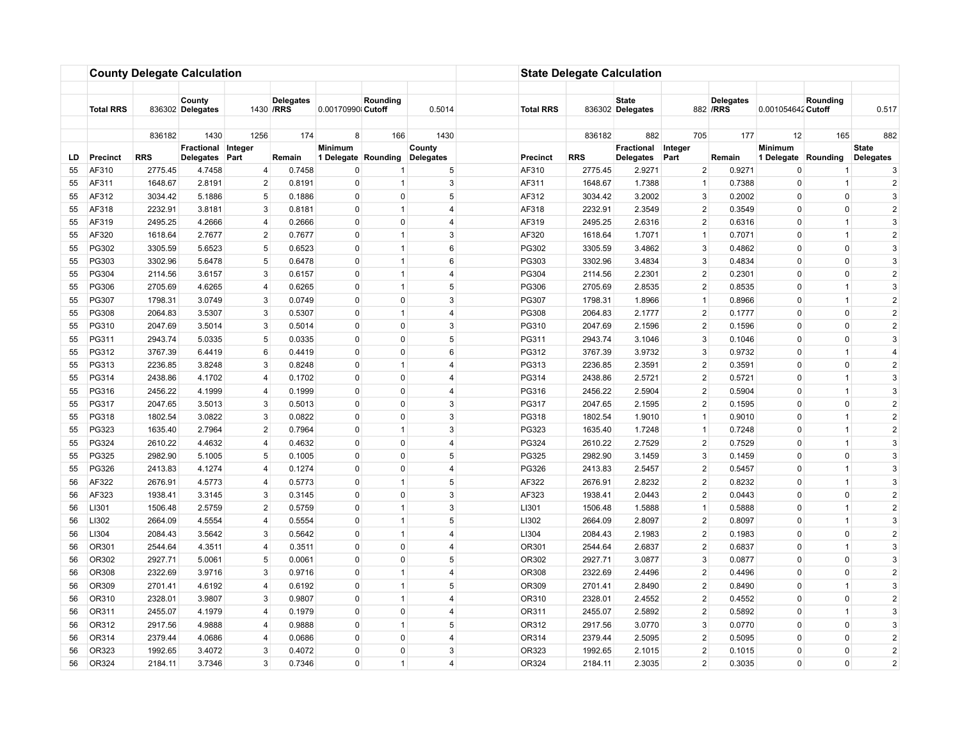|     |                  |            | <b>County Delegate Calculation</b> |                 |                                |                     |                |                |                         | <b>State Delegate Calculation</b> |                                  |                |                               |                     |                |                  |
|-----|------------------|------------|------------------------------------|-----------------|--------------------------------|---------------------|----------------|----------------|-------------------------|-----------------------------------|----------------------------------|----------------|-------------------------------|---------------------|----------------|------------------|
|     | <b>Total RRS</b> |            | County<br>836302 Delegates         |                 | <b>Delegates</b><br>1430 / RRS | 0.00170990 Cutoff   | Rounding       | 0.5014         | <b>Total RRS</b>        |                                   | <b>State</b><br>836302 Delegates |                | <b>Delegates</b><br>882 / RRS | 0.001054642 Cutoff  | Rounding       | 0.517            |
|     |                  |            |                                    |                 |                                |                     |                |                |                         |                                   |                                  |                |                               |                     |                |                  |
|     |                  | 836182     | 1430                               | 1256            | 174                            | 8                   | 166            | 1430           |                         | 836182                            | 882                              | 705            | 177                           | 12                  | 165            | 882              |
|     |                  |            | Fractional Integer                 |                 |                                | Minimum             |                | County         |                         |                                   | Fractional                       | Integer        |                               | Minimum             |                | <b>State</b>     |
| LD. | <b>Precinct</b>  | <b>RRS</b> | <b>Delegates</b>                   | Part            | Remain                         | 1 Delegate Rounding |                | Delegates      | <b>Precinct</b>         | <b>RRS</b>                        | Delegates                        | Part           | Remain                        | 1 Delegate Rounding |                | <b>Delegates</b> |
| 55  | AF310            | 2775.45    | 4.7458                             | 4               | 0.7458                         | 0                   |                |                | $\sqrt{5}$<br>AF310     | 2775.45                           | 2.9271                           | $\overline{2}$ | 0.9271                        | 0                   |                | 3                |
| 55  | AF311            | 1648.67    | 2.8191                             | $\overline{c}$  | 0.8191                         | $\mathbf 0$         | $\mathbf{1}$   |                | 3<br>AF311              | 1648.67                           | 1.7388                           | $\mathbf{1}$   | 0.7388                        | $\mathbf 0$         | $\overline{1}$ | $\overline{2}$   |
| 55  | AF312            | 3034.42    | 5.1886                             | 5               | 0.1886                         | $\Omega$            | $\Omega$       |                | 5<br>AF312              | 3034.42                           | 3.2002                           | 3              | 0.2002                        | $\Omega$            | $\mathbf 0$    | 3                |
| 55  | AF318            | 2232.91    | 3.8181                             | 3               | 0.8181                         | $\mathbf 0$         | $\mathbf{1}$   | $\overline{4}$ | AF318                   | 2232.91                           | 2.3549                           | $\overline{2}$ | 0.3549                        | 0                   | $\Omega$       | $\overline{2}$   |
| 55  | AF319            | 2495.25    | 4.2666                             | $\overline{4}$  | 0.2666                         | $\mathbf 0$         | $\Omega$       |                | AF319<br>4              | 2495.25                           | 2.6316                           | $\overline{2}$ | 0.6316                        | $\Omega$            | $\overline{1}$ | 3                |
| 55  | AF320            | 1618.64    | 2.7677                             | $\overline{2}$  | 0.7677                         | $\mathbf 0$         | $\mathbf{1}$   |                | AF320<br>3              | 1618.64                           | 1.7071                           | $\mathbf{1}$   | 0.7071                        | $\Omega$            | $\mathbf{1}$   | $\overline{2}$   |
| 55  | PG302            | 3305.59    | 5.6523                             | 5               | 0.6523                         | $\mathbf 0$         | $\mathbf{1}$   |                | 6<br>PG302              | 3305.59                           | 3.4862                           | 3              | 0.4862                        | 0                   | $\mathbf 0$    | $\mathbf{3}$     |
| 55  | PG303            | 3302.96    | 5.6478                             | 5               | 0.6478                         | $\Omega$            | $\mathbf{1}$   |                | 6<br>PG303              | 3302.96                           | 3.4834                           | 3              | 0.4834                        | 0                   | $\mathbf 0$    | 3                |
| 55  | PG304            | 2114.56    | 3.6157                             | 3               | 0.6157                         | $\mathbf 0$         | $\mathbf{1}$   | $\overline{4}$ | PG304                   | 2114.56                           | 2.2301                           | $\overline{2}$ | 0.2301                        | $\mathbf 0$         | $\mathbf 0$    | $\overline{2}$   |
| 55  | PG306            | 2705.69    | 4.6265                             | 4               | 0.6265                         | 0                   | $\mathbf{1}$   |                | 5<br>PG306              | 2705.69                           | 2.8535                           | $\overline{2}$ | 0.8535                        | $\Omega$            | $\mathbf{1}$   | 3                |
| 55  | PG307            | 1798.31    | 3.0749                             | 3               | 0.0749                         | $\mathbf 0$         | $\mathbf 0$    |                | 3<br>PG307              | 1798.31                           | 1.8966                           | $\mathbf{1}$   | 0.8966                        | $\Omega$            | $\mathbf{1}$   | $\overline{2}$   |
| 55  | PG308            | 2064.83    | 3.5307                             | 3               | 0.5307                         | $\mathbf 0$         | $\mathbf{1}$   |                | PG308<br>$\overline{4}$ | 2064.83                           | 2.1777                           | $\overline{2}$ | 0.1777                        | $\mathbf 0$         | $\mathbf 0$    | $\overline{2}$   |
| 55  | PG310            | 2047.69    | 3.5014                             | 3               | 0.5014                         | $\mathbf 0$         | $\mathbf 0$    |                | 3<br>PG310              | 2047.69                           | 2.1596                           | $\overline{2}$ | 0.1596                        | $\Omega$            | $\mathbf 0$    | $\sqrt{2}$       |
| 55  | PG311            | 2943.74    | 5.0335                             | $5\phantom{.0}$ | 0.0335                         | $\pmb{0}$           | $\mathbf 0$    |                | 5<br>PG311              | 2943.74                           | 3.1046                           | 3              | 0.1046                        | 0                   | $\mathbf 0$    | 3                |
| 55  | PG312            | 3767.39    | 6.4419                             | 6               | 0.4419                         | $\mathbf 0$         | $\Omega$       |                | 6<br>PG312              | 3767.39                           | 3.9732                           | 3              | 0.9732                        | $\Omega$            | $\overline{1}$ | $\overline{4}$   |
| 55  | PG313            | 2236.85    | 3.8248                             | 3               | 0.8248                         | $\mathbf 0$         | $\mathbf{1}$   | 4              | PG313                   | 2236.85                           | 2.3591                           | $\overline{2}$ | 0.3591                        | $\Omega$            | $\mathbf 0$    | $\sqrt{2}$       |
| 55  | PG314            | 2438.86    | 4.1702                             | $\overline{4}$  | 0.1702                         | $\mathbf 0$         | $\mathbf{0}$   |                | PG314<br>4              | 2438.86                           | 2.5721                           | $\overline{2}$ | 0.5721                        | $\Omega$            | $\mathbf{1}$   | 3                |
| 55  | PG316            | 2456.22    | 4.1999                             | $\overline{4}$  | 0.1999                         | $\Omega$            | $\Omega$       | $\overline{4}$ | PG316                   | 2456.22                           | 2.5904                           | $\overline{2}$ | 0.5904                        | $\Omega$            | $\mathbf{1}$   | 3                |
| 55  | PG317            | 2047.65    | 3.5013                             | 3               | 0.5013                         | $\mathbf 0$         | $\mathbf 0$    |                | 3<br>PG317              | 2047.65                           | 2.1595                           | $\overline{2}$ | 0.1595                        | $\mathbf 0$         | $\mathbf 0$    | $\overline{2}$   |
| 55  | PG318            | 1802.54    | 3.0822                             | 3               | 0.0822                         | $\mathbf 0$         | 0              |                | 3<br>PG318              | 1802.54                           | 1.9010                           | $\mathbf{1}$   | 0.9010                        | $\Omega$            | $\mathbf{1}$   | $\overline{2}$   |
| 55  | PG323            | 1635.40    | 2.7964                             | $\overline{2}$  | 0.7964                         | $\mathbf 0$         | $\mathbf{1}$   |                | 3<br>PG323              | 1635.40                           | 1.7248                           | $\mathbf{1}$   | 0.7248                        | $\Omega$            | $\mathbf{1}$   | $\overline{2}$   |
| 55  | PG324            | 2610.22    | 4.4632                             | 4               | 0.4632                         | $\mathbf 0$         | $\mathbf{0}$   |                | PG324<br>$\overline{4}$ | 2610.22                           | 2.7529                           | $\overline{2}$ | 0.7529                        | $\mathbf 0$         | $\mathbf{1}$   | $\mathbf{3}$     |
| 55  | PG325            | 2982.90    | 5.1005                             | 5               | 0.1005                         | $\mathbf 0$         | $\Omega$       |                | 5<br>PG325              | 2982.90                           | 3.1459                           | 3              | 0.1459                        | $\Omega$            | $\mathbf 0$    | 3                |
| 55  | PG326            | 2413.83    | 4.1274                             | $\overline{4}$  | 0.1274                         | $\pmb{0}$           | $\mathbf 0$    |                | 4<br>PG326              | 2413.83                           | 2.5457                           | $\overline{2}$ | 0.5457                        | 0                   | $\mathbf{1}$   | 3                |
| 56  | AF322            | 2676.91    | 4.5773                             | $\overline{4}$  | 0.5773                         | $\mathbf 0$         | $\overline{1}$ |                | 5<br>AF322              | 2676.91                           | 2.8232                           | $\overline{2}$ | 0.8232                        | $\Omega$            | $\mathbf{1}$   | 3                |
| 56  | AF323            | 1938.41    | 3.3145                             | 3               | 0.3145                         | $\pmb{0}$           | $\mathbf 0$    |                | 3<br>AF323              | 1938.41                           | 2.0443                           | $\overline{2}$ | 0.0443                        | $\mathbf 0$         | 0              | $\overline{2}$   |
| 56  | LI301            | 1506.48    | 2.5759                             | $\overline{2}$  | 0.5759                         | $\mathbf 0$         | $\mathbf{1}$   |                | 3<br>LI301              | 1506.48                           | 1.5888                           | $\mathbf{1}$   | 0.5888                        | $\mathbf 0$         | $\mathbf{1}$   | $\overline{2}$   |
| 56  | LI302            | 2664.09    | 4.5554                             | $\overline{4}$  | 0.5554                         | $\mathbf 0$         | $\mathbf{1}$   |                | 5 <sup>5</sup><br>LI302 | 2664.09                           | 2.8097                           | $\overline{2}$ | 0.8097                        | 0                   | $\mathbf{1}$   | 3                |
| 56  | LI304            | 2084.43    | 3.5642                             | 3               | 0.5642                         | $\mathbf 0$         | $\mathbf{1}$   | $\overline{4}$ | LI304                   | 2084.43                           | 2.1983                           | $\overline{2}$ | 0.1983                        | $\mathbf 0$         | $\mathbf 0$    | $\sqrt{2}$       |
| 56  | OR301            | 2544.64    | 4.3511                             | $\overline{4}$  | 0.3511                         | $\Omega$            | $\Omega$       | 4              | OR301                   | 2544.64                           | 2.6837                           | $\overline{2}$ | 0.6837                        | $\Omega$            | $\overline{1}$ | 3                |
| 56  | OR302            | 2927.71    | 5.0061                             | 5               | 0.0061                         | $\mathbf 0$         | $\mathbf{0}$   |                | OR302<br>5              | 2927.71                           | 3.0877                           | 3              | 0.0877                        | $\Omega$            | $\mathbf 0$    | 3                |
| 56  | OR308            | 2322.69    | 3.9716                             | 3               | 0.9716                         | $\mathbf 0$         | $\mathbf{1}$   |                | $\overline{4}$<br>OR308 | 2322.69                           | 2.4496                           | $\overline{2}$ | 0.4496                        | $\Omega$            | $\mathbf 0$    | $\overline{2}$   |
| 56  | OR309            | 2701.41    | 4.6192                             | $\overline{4}$  | 0.6192                         | $\Omega$            | $\mathbf{1}$   |                | 5<br>OR309              | 2701.41                           | 2.8490                           | $\overline{2}$ | 0.8490                        | 0                   | $\overline{1}$ | 3                |
| 56  | OR310            | 2328.01    | 3.9807                             | 3               | 0.9807                         | $\mathbf 0$         | $\mathbf{1}$   | $\overline{4}$ | OR310                   | 2328.01                           | 2.4552                           | $\overline{2}$ | 0.4552                        | 0                   | $\mathbf 0$    | $\overline{2}$   |
| 56  | OR311            | 2455.07    | 4.1979                             | 4               | 0.1979                         | $\mathbf 0$         | $\mathbf 0$    |                | OR311<br>4              | 2455.07                           | 2.5892                           | $\overline{2}$ | 0.5892                        | $\Omega$            | $\overline{1}$ | 3                |
| 56  | OR312            | 2917.56    | 4.9888                             | 4               | 0.9888                         | $\pmb{0}$           | $\mathbf{1}$   |                | 5 <sup>5</sup><br>OR312 | 2917.56                           | 3.0770                           | 3              | 0.0770                        | $\mathbf 0$         | 0              | 3                |
| 56  | OR314            | 2379.44    | 4.0686                             | $\overline{4}$  | 0.0686                         | $\mathbf 0$         | $\mathbf{0}$   |                | OR314<br>$\overline{4}$ | 2379.44                           | 2.5095                           | $\overline{2}$ | 0.5095                        | $\mathbf 0$         | $\mathbf 0$    | $\overline{2}$   |
| 56  | OR323            | 1992.65    | 3.4072                             | 3               | 0.4072                         | $\Omega$            | $\Omega$       |                | 3<br>OR323              | 1992.65                           | 2.1015                           | $\overline{2}$ | 0.1015                        | 0                   | $\mathbf 0$    | $\overline{2}$   |
| 56  | OR324            | 2184.11    | 3.7346                             | $\mathbf{3}$    | 0.7346                         | $\mathbf 0$         | $\mathbf{1}$   |                | OR324<br>4              | 2184.11                           | 2.3035                           | $\overline{2}$ | 0.3035                        | $\mathbf 0$         | $\mathbf 0$    | $\overline{2}$   |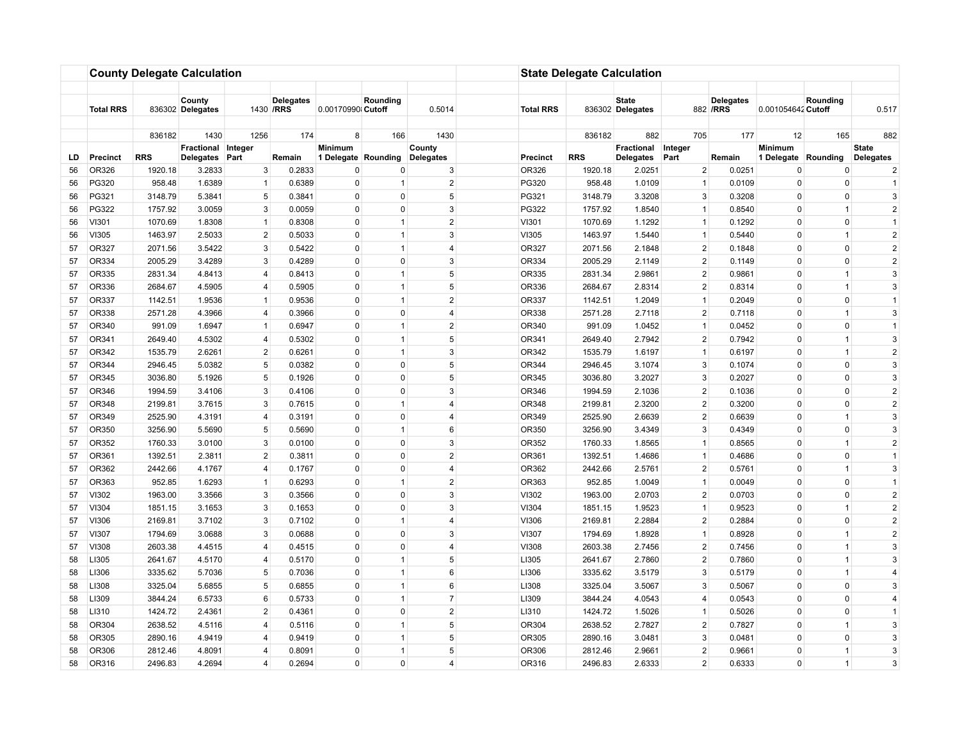|     |                  |            | <b>County Delegate Calculation</b> |                |                                |                   |                     |                |                          | <b>State Delegate Calculation</b> |                                  |                |                               |                     |                |                     |
|-----|------------------|------------|------------------------------------|----------------|--------------------------------|-------------------|---------------------|----------------|--------------------------|-----------------------------------|----------------------------------|----------------|-------------------------------|---------------------|----------------|---------------------|
|     |                  |            |                                    |                |                                |                   |                     |                |                          |                                   |                                  |                |                               |                     |                |                     |
|     | <b>Total RRS</b> |            | County<br>836302 Delegates         |                | <b>Delegates</b><br>1430 / RRS | 0.00170990 Cutoff | Rounding            | 0.5014         | <b>Total RRS</b>         |                                   | <b>State</b><br>836302 Delegates |                | <b>Delegates</b><br>882 / RRS | 0.001054642 Cutoff  | Rounding       | 0.517               |
|     |                  |            |                                    |                |                                |                   |                     |                |                          |                                   |                                  |                |                               |                     |                |                     |
|     |                  | 836182     | 1430<br>Fractional Integer         | 1256           | 174                            | 8<br>Minimum      | 166                 | 1430<br>County |                          | 836182                            | 882<br>Fractional                | 705<br>Integer | 177                           | 12<br>Minimum       | 165            | 882<br><b>State</b> |
| LD. | <b>Precinct</b>  | <b>RRS</b> | <b>Delegates</b>                   | Part           | Remain                         |                   | 1 Delegate Rounding | Delegates      | <b>Precinct</b>          | <b>RRS</b>                        | Delegates                        | Part           | Remain                        | 1 Delegate Rounding |                | <b>Delegates</b>    |
| 56  | OR326            | 1920.18    | 3.2833                             | 3              | 0.2833                         | 0                 | 0                   |                | 3<br>OR326               | 1920.18                           | 2.0251                           | $\overline{2}$ | 0.0251                        | 0                   | 0              | $\overline{2}$      |
| 56  | PG320            | 958.48     | 1.6389                             | $\mathbf{1}$   | 0.6389                         | $\mathbf 0$       | $\mathbf{1}$        |                | $\overline{2}$<br>PG320  | 958.48                            | 1.0109                           | $\mathbf{1}$   | 0.0109                        | $\mathbf 0$         | $\mathbf 0$    | $\overline{1}$      |
| 56  | PG321            | 3148.79    | 5.3841                             | 5              | 0.3841                         | $\Omega$          | $\Omega$            |                | 5<br>PG321               | 3148.79                           | 3.3208                           | 3              | 0.3208                        | $\Omega$            | $\Omega$       | 3                   |
| 56  | PG322            | 1757.92    | 3.0059                             | 3              | 0.0059                         | $\mathbf 0$       | $\Omega$            |                | 3<br>PG322               | 1757.92                           | 1.8540                           | $\mathbf{1}$   | 0.8540                        | 0                   | $\mathbf{1}$   | $\overline{2}$      |
| 56  | VI301            | 1070.69    | 1.8308                             | $\mathbf{1}$   | 0.8308                         | $\mathbf 0$       | $\overline{1}$      |                | $\overline{2}$<br>VI301  | 1070.69                           | 1.1292                           | $\mathbf{1}$   | 0.1292                        | $\Omega$            | $\mathbf 0$    | $\overline{1}$      |
| 56  | VI305            | 1463.97    | 2.5033                             | $\overline{2}$ | 0.5033                         | $\mathbf 0$       | $\mathbf{1}$        |                | 3<br>VI305               | 1463.97                           | 1.5440                           | $\mathbf{1}$   | 0.5440                        | $\Omega$            | $\mathbf{1}$   | $\overline{2}$      |
| 57  | OR327            | 2071.56    | 3.5422                             | 3              | 0.5422                         | $\mathbf 0$       | $\mathbf{1}$        |                | OR327<br>$\overline{4}$  | 2071.56                           | 2.1848                           | 2              | 0.1848                        | 0                   | $\mathbf 0$    | $\overline{2}$      |
| 57  | OR334            | 2005.29    | 3.4289                             | 3              | 0.4289                         | $\Omega$          | $\Omega$            |                | 3<br>OR334               | 2005.29                           | 2.1149                           | 2              | 0.1149                        | $\Omega$            | $\mathbf 0$    | $\overline{2}$      |
| 57  | OR335            | 2831.34    | 4.8413                             | $\overline{4}$ | 0.8413                         | $\mathbf 0$       | $\mathbf{1}$        |                | $5\overline{5}$<br>OR335 | 2831.34                           | 2.9861                           | $\overline{2}$ | 0.9861                        | $\mathbf 0$         | $\mathbf{1}$   | 3                   |
| 57  | OR336            | 2684.67    | 4.5905                             | 4              | 0.5905                         | $\mathbf 0$       | $\overline{1}$      |                | 5<br>OR336               | 2684.67                           | 2.8314                           | $\overline{2}$ | 0.8314                        | $\Omega$            | $\mathbf{1}$   | 3                   |
| 57  | OR337            | 1142.51    | 1.9536                             | $\mathbf{1}$   | 0.9536                         | $\mathbf 0$       | $\mathbf{1}$        |                | $\overline{2}$<br>OR337  | 1142.51                           | 1.2049                           | $\mathbf{1}$   | 0.2049                        | $\Omega$            | 0              | $\overline{1}$      |
| 57  | OR338            | 2571.28    | 4.3966                             | 4              | 0.3966                         | $\mathbf 0$       | $\mathbf{0}$        |                | OR338<br>$\overline{4}$  | 2571.28                           | 2.7118                           | $\overline{2}$ | 0.7118                        | $\mathbf 0$         | $\mathbf{1}$   | $\mathbf{3}$        |
| 57  | OR340            | 991.09     | 1.6947                             | $\mathbf{1}$   | 0.6947                         | $\mathbf 0$       | $\overline{1}$      |                | $\overline{2}$<br>OR340  | 991.09                            | 1.0452                           | $\mathbf{1}$   | 0.0452                        | $\Omega$            | $\mathbf 0$    | $\overline{1}$      |
| 57  | OR341            | 2649.40    | 4.5302                             | $\overline{4}$ | 0.5302                         | $\pmb{0}$         | $\mathbf{1}$        |                | $\overline{5}$<br>OR341  | 2649.40                           | 2.7942                           | $\overline{2}$ | 0.7942                        | 0                   | $\mathbf{1}$   | 3                   |
| 57  | OR342            | 1535.79    | 2.6261                             | $\overline{2}$ | 0.6261                         | $\mathbf 0$       | $\mathbf{1}$        |                | 3<br>OR342               | 1535.79                           | 1.6197                           | $\mathbf{1}$   | 0.6197                        | $\Omega$            | $\overline{1}$ | $\overline{2}$      |
| 57  | OR344            | 2946.45    | 5.0382                             | $\,$ 5 $\,$    | 0.0382                         | $\mathbf 0$       | 0                   |                | 5<br>OR344               | 2946.45                           | 3.1074                           | 3              | 0.1074                        | $\Omega$            | $\mathbf 0$    | 3                   |
| 57  | OR345            | 3036.80    | 5.1926                             | 5              | 0.1926                         | $\mathbf 0$       | $\mathbf 0$         |                | 5<br>OR345               | 3036.80                           | 3.2027                           | 3              | 0.2027                        | $\Omega$            | $\mathbf 0$    | 3                   |
| 57  | OR346            | 1994.59    | 3.4106                             | 3              | 0.4106                         | $\Omega$          | $\Omega$            |                | 3<br>OR346               | 1994.59                           | 2.1036                           | $\overline{2}$ | 0.1036                        | $\Omega$            | $\Omega$       | $\overline{2}$      |
| 57  | OR348            | 2199.81    | 3.7615                             | 3              | 0.7615                         | $\mathbf 0$       | $\mathbf{1}$        | 4              | OR348                    | 2199.81                           | 2.3200                           | $\overline{2}$ | 0.3200                        | $\mathbf 0$         | $\mathbf 0$    | $\overline{2}$      |
| 57  | OR349            | 2525.90    | 4.3191                             | 4              | 0.3191                         | $\mathbf 0$       | 0                   | 4              | OR349                    | 2525.90                           | 2.6639                           | $\overline{2}$ | 0.6639                        | $\Omega$            | $\overline{1}$ | 3                   |
| 57  | OR350            | 3256.90    | 5.5690                             | 5              | 0.5690                         | $\mathbf 0$       | $\mathbf{1}$        |                | 6<br>OR350               | 3256.90                           | 3.4349                           | 3              | 0.4349                        | $\Omega$            | 0              | $\mathbf{3}$        |
| 57  | OR352            | 1760.33    | 3.0100                             | 3              | 0.0100                         | $\mathbf 0$       | $\mathbf{0}$        |                | 3<br>OR352               | 1760.33                           | 1.8565                           | $\mathbf{1}$   | 0.8565                        | $\mathbf 0$         | $\mathbf{1}$   | $\overline{2}$      |
| 57  | OR361            | 1392.51    | 2.3811                             | $\overline{2}$ | 0.3811                         | $\mathbf 0$       | $\Omega$            |                | $\overline{2}$<br>OR361  | 1392.51                           | 1.4686                           | $\mathbf{1}$   | 0.4686                        | $\Omega$            | $\mathbf 0$    | $\overline{1}$      |
| 57  | OR362            | 2442.66    | 4.1767                             | $\overline{4}$ | 0.1767                         | $\pmb{0}$         | $\mathbf 0$         | $\overline{4}$ | OR362                    | 2442.66                           | 2.5761                           | $\overline{2}$ | 0.5761                        | $\mathbf 0$         | $\mathbf{1}$   | 3                   |
| 57  | OR363            | 952.85     | 1.6293                             | $\mathbf{1}$   | 0.6293                         | $\mathbf 0$       | $\overline{1}$      |                | $\overline{2}$<br>OR363  | 952.85                            | 1.0049                           | $\mathbf{1}$   | 0.0049                        | $\Omega$            | $\mathbf 0$    | $\overline{1}$      |
| 57  | VI302            | 1963.00    | 3.3566                             | 3              | 0.3566                         | $\pmb{0}$         | $\mathbf 0$         |                | 3<br>VI302               | 1963.00                           | 2.0703                           | $\overline{2}$ | 0.0703                        | $\mathbf 0$         | 0              | $\sqrt{2}$          |
| 57  | VI304            | 1851.15    | 3.1653                             | 3              | 0.1653                         | $\mathbf 0$       | $\mathbf{0}$        |                | 3<br>VI304               | 1851.15                           | 1.9523                           | $\mathbf{1}$   | 0.9523                        | $\mathbf 0$         | $\overline{1}$ | $\overline{2}$      |
| 57  | VI306            | 2169.81    | 3.7102                             | 3              | 0.7102                         | $\mathbf 0$       | $\mathbf{1}$        | $\overline{4}$ | VI306                    | 2169.81                           | 2.2884                           | $\overline{2}$ | 0.2884                        | 0                   | $\mathbf 0$    | $\overline{2}$      |
| 57  | VI307            | 1794.69    | 3.0688                             | 3              | 0.0688                         | $\mathbf 0$       | $\Omega$            |                | 3<br>VI307               | 1794.69                           | 1.8928                           | $\mathbf{1}$   | 0.8928                        | $\mathbf 0$         | $\mathbf{1}$   | $\overline{2}$      |
| 57  | VI308            | 2603.38    | 4.4515                             | $\overline{4}$ | 0.4515                         | $\Omega$          | $\Omega$            | 4              | <b>VI308</b>             | 2603.38                           | 2.7456                           | 2              | 0.7456                        | $\Omega$            | $\mathbf{1}$   | 3                   |
| 58  | LI305            | 2641.67    | 4.5170                             | $\overline{4}$ | 0.5170                         | $\mathbf 0$       | $\mathbf{1}$        |                | 5<br>LI305               | 2641.67                           | 2.7860                           | $\overline{2}$ | 0.7860                        | $\Omega$            | $\mathbf{1}$   | 3                   |
| 58  | LI306            | 3335.62    | 5.7036                             | 5              | 0.7036                         | $\mathbf 0$       | $\mathbf{1}$        |                | 6<br>LI306               | 3335.62                           | 3.5179                           | 3              | 0.5179                        | $\Omega$            | $\mathbf{1}$   | $\overline{4}$      |
| 58  | LI308            | 3325.04    | 5.6855                             | 5              | 0.6855                         | $\Omega$          | $\mathbf{1}$        |                | 6<br>LI308               | 3325.04                           | 3.5067                           | 3              | 0.5067                        | $\Omega$            | $\mathbf 0$    | 3                   |
| 58  | LI309            | 3844.24    | 6.5733                             | 6              | 0.5733                         | $\mathbf 0$       | $\mathbf{1}$        | $\overline{7}$ | LI309                    | 3844.24                           | 4.0543                           | $\overline{4}$ | 0.0543                        | 0                   | $\mathbf 0$    | $\overline{4}$      |
| 58  | LI310            | 1424.72    | 2.4361                             | $\overline{2}$ | 0.4361                         | $\mathbf 0$       | $\mathbf 0$         |                | $\overline{2}$<br>LI310  | 1424.72                           | 1.5026                           | $\mathbf{1}$   | 0.5026                        | $\Omega$            | $\mathbf 0$    | $\overline{1}$      |
| 58  | OR304            | 2638.52    | 4.5116                             | $\overline{4}$ | 0.5116                         | $\pmb{0}$         | $\mathbf{1}$        |                | 5 <sup>5</sup><br>OR304  | 2638.52                           | 2.7827                           | $\overline{2}$ | 0.7827                        | $\mathbf 0$         | $\mathbf{1}$   | 3                   |
| 58  | OR305            | 2890.16    | 4.9419                             | $\overline{4}$ | 0.9419                         | $\mathbf 0$       | $\mathbf{1}$        |                | 5<br>OR305               | 2890.16                           | 3.0481                           | 3              | 0.0481                        | $\mathbf 0$         | $\mathbf 0$    | $\mathbf{3}$        |
| 58  | OR306            | 2812.46    | 4.8091                             | $\overline{4}$ | 0.8091                         | $\Omega$          | $\overline{1}$      |                | 5<br>OR306               | 2812.46                           | 2.9661                           | $\overline{2}$ | 0.9661                        | $\Omega$            | $\mathbf{1}$   | 3                   |
| 58  | OR316            | 2496.83    | 4.2694                             | $\overline{4}$ | 0.2694                         | $\mathbf 0$       | $\mathbf 0$         |                | OR316<br>4               | 2496.83                           | 2.6333                           | $\overline{2}$ | 0.6333                        | $\mathbf 0$         | $\mathbf{1}$   | 3                   |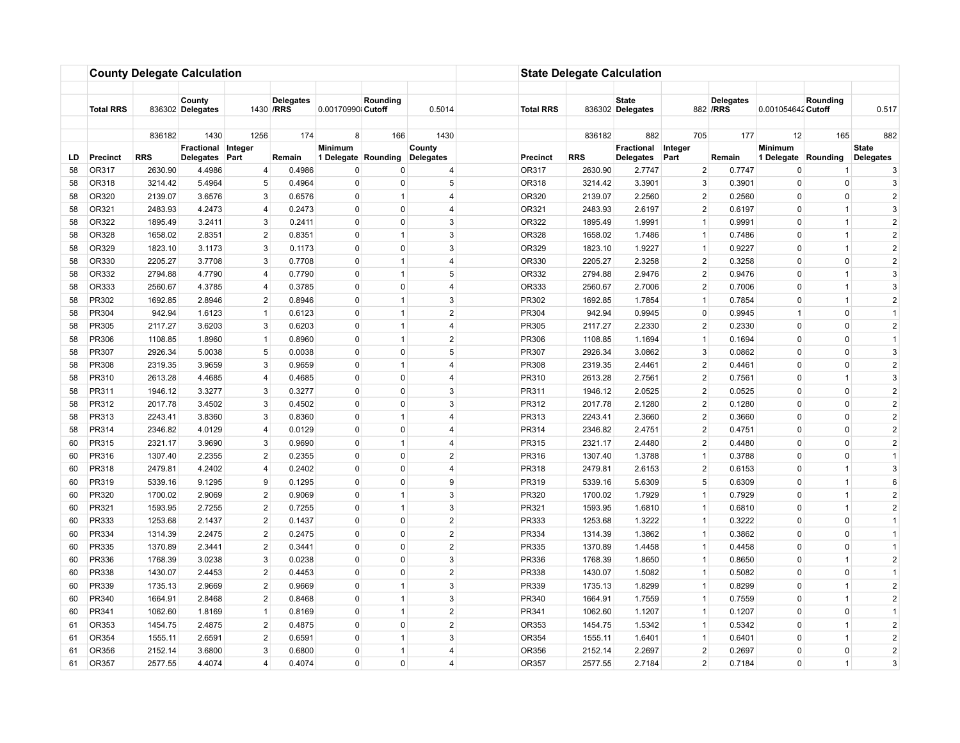|          |                  |                    | <b>County Delegate Calculation</b> |                   |                                |                          |                              |                     |                  | <b>State Delegate Calculation</b> |                                  |                               |                               |                     |                  |                              |
|----------|------------------|--------------------|------------------------------------|-------------------|--------------------------------|--------------------------|------------------------------|---------------------|------------------|-----------------------------------|----------------------------------|-------------------------------|-------------------------------|---------------------|------------------|------------------------------|
|          |                  |                    |                                    |                   |                                |                          |                              |                     |                  |                                   |                                  |                               |                               |                     |                  |                              |
|          | <b>Total RRS</b> |                    | County<br>836302 Delegates         |                   | <b>Delegates</b><br>1430 / RRS | 0.00170990 Cutoff        | Rounding                     | 0.5014              | <b>Total RRS</b> |                                   | <b>State</b><br>836302 Delegates |                               | <b>Delegates</b><br>882 / RRS | 0.001054642 Cutoff  | Rounding         | 0.517                        |
|          |                  | 836182             | 1430                               | 1256              | 174                            | 8                        | 166                          | 1430                |                  | 836182                            | 882                              | 705                           | 177                           | 12                  | 165              | 882                          |
|          |                  |                    | Fractional Integer                 |                   |                                | Minimum                  |                              | County              |                  |                                   | Fractional                       | Integer                       |                               | <b>Minimum</b>      |                  | <b>State</b>                 |
| LD       | <b>Precinct</b>  | <b>RRS</b>         | <b>Delegates</b>                   | Part              | Remain                         | 1 Delegate Rounding      |                              | Delegates           | <b>Precinct</b>  | <b>RRS</b>                        | <b>Delegates</b>                 | Part                          | Remain                        | 1 Delegate Rounding |                  | <b>Delegates</b>             |
| 58       | OR317            | 2630.90            | 4.4986                             | $\overline{4}$    | 0.4986                         | 0                        | 0                            | 4                   | OR317            | 2630.90                           | 2.7747                           | $\overline{2}$                | 0.7747                        | $\mathbf 0$         |                  | 3                            |
| 58       | OR318            | 3214.42            | 5.4964                             | 5                 | 0.4964                         | $\pmb{0}$                | $\mathbf 0$                  | 5                   | OR318            | 3214.42                           | 3.3901                           | 3                             | 0.3901                        | 0                   | 0                | 3                            |
| 58       | OR320            | 2139.07            | 3.6576                             | 3                 | 0.6576                         | $\mathbf 0$              | $\mathbf{1}$                 | 4                   | OR320            | 2139.07                           | 2.2560                           | $\overline{2}$                | 0.2560                        | $\Omega$            | $\mathbf 0$      | $\overline{2}$               |
| 58       | OR321            | 2483.93            | 4.2473                             | $\overline{4}$    | 0.2473                         | $\mathbf 0$              | $\mathbf 0$                  | $\overline{4}$      | OR321            | 2483.93                           | 2.6197                           | $\overline{2}$                | 0.6197                        | $\mathbf 0$         | $\mathbf{1}$     | $\mathbf{3}$                 |
| 58       | OR322            | 1895.49            | 3.2411                             | 3                 | 0.2411                         | $\mathbf 0$              | $\mathbf 0$                  | 3                   | OR322            | 1895.49                           | 1.9991                           | $\mathbf{1}$                  | 0.9991                        | 0                   | $\overline{1}$   | $\overline{2}$               |
| 58       | OR328            | 1658.02            | 2.8351                             | $\overline{2}$    | 0.8351                         | $\pmb{0}$                | $\mathbf{1}$                 | 3                   | OR328            | 1658.02                           | 1.7486                           | $\mathbf{1}$                  | 0.7486                        | $\Omega$            | $\mathbf{1}$     | $\sqrt{2}$                   |
| 58       | OR329            | 1823.10            | 3.1173                             | 3                 | 0.1173                         | $\pmb{0}$                | $\mathbf 0$                  | 3                   | OR329            | 1823.10                           | 1.9227                           | $\mathbf{1}$                  | 0.9227                        | 0                   | $\mathbf{1}$     | $\overline{2}$               |
| 58       | OR330            | 2205.27            | 3.7708                             | 3                 | 0.7708                         | $\mathbf 0$              | $\overline{1}$               | 4                   | OR330            | 2205.27                           | 2.3258                           | $\overline{2}$                | 0.3258                        | $\Omega$            | $\mathbf 0$      | $\overline{2}$               |
| 58       | OR332            | 2794.88            | 4.7790                             | $\overline{4}$    | 0.7790                         | $\Omega$                 | $\mathbf{1}$                 | 5 <sup>1</sup>      | OR332            | 2794.88                           | 2.9476                           | $\overline{2}$                | 0.9476                        | $\Omega$            | $\mathbf{1}$     | $\mathbf{3}$                 |
| 58       | OR333            | 2560.67            | 4.3785                             | $\overline{4}$    | 0.3785                         | $\mathbf 0$              | $\mathbf 0$                  | 4                   | OR333            | 2560.67                           | 2.7006                           | $\overline{2}$                | 0.7006                        | $\Omega$            | $\overline{1}$   | 3                            |
| 58       | PR302            | 1692.85            | 2.8946                             | $2^{\circ}$       | 0.8946                         | $\Omega$                 | $\mathbf{1}$                 | 3                   | PR302            | 1692.85                           | 1.7854                           | $\mathbf{1}$                  | 0.7854                        | $\Omega$            | $\mathbf{1}$     | $\overline{2}$               |
| 58       | PR304            | 942.94             | 1.6123                             | $\mathbf{1}$<br>3 | 0.6123                         | $\pmb{0}$<br>$\mathbf 0$ | $\mathbf{1}$<br>$\mathbf{1}$ | $\overline{2}$<br>4 | PR304            | 942.94                            | 0.9945                           | $\mathbf 0$<br>$\overline{2}$ | 0.9945                        | $\overline{1}$      | 0<br>$\mathbf 0$ | $\overline{1}$               |
| 58       | PR305            | 2117.27            | 3.6203                             | $\mathbf{1}$      | 0.6203                         | $\Omega$                 | $\mathbf{1}$                 | $\overline{2}$      | PR305            | 2117.27                           | 2.2330                           | $\mathbf{1}$                  | 0.2330                        | 0<br>0              | $\Omega$         | $\sqrt{2}$<br>$\overline{1}$ |
| 58<br>58 | PR306<br>PR307   | 1108.85<br>2926.34 | 1.8960<br>5.0038                   | 5                 | 0.8960<br>0.0038               | $\mathbf 0$              | $\Omega$                     | 5                   | PR306<br>PR307   | 1108.85<br>2926.34                | 1.1694<br>3.0862                 | 3                             | 0.1694<br>0.0862              | 0                   | $\mathbf 0$      | 3                            |
| 58       | PR308            | 2319.35            | 3.9659                             | 3                 | 0.9659                         | $\mathbf 0$              | $\mathbf{1}$                 | $\overline{4}$      | PR308            | 2319.35                           | 2.4461                           | $\overline{2}$                | 0.4461                        | $\Omega$            | $\mathbf 0$      | $\overline{2}$               |
| 58       | PR310            | 2613.28            | 4.4685                             | $\overline{4}$    | 0.4685                         | $\mathbf 0$              | $\mathbf{0}$                 | $\overline{4}$      | PR310            | 2613.28                           | 2.7561                           | $\overline{2}$                | 0.7561                        | $\mathbf 0$         | $\mathbf{1}$     | 3                            |
| 58       | PR311            | 1946.12            | 3.3277                             | 3                 | 0.3277                         | $\mathbf 0$              | $\mathbf{0}$                 | 3                   | PR311            | 1946.12                           | 2.0525                           | $\overline{2}$                | 0.0525                        | $\Omega$            | $\mathbf 0$      | $\overline{2}$               |
| 58       | PR312            | 2017.78            | 3.4502                             | 3                 | 0.4502                         | $\Omega$                 | $\Omega$                     | 3                   | PR312            | 2017.78                           | 2.1280                           | $\overline{2}$                | 0.1280                        | 0                   | $\Omega$         | $\overline{2}$               |
| 58       | PR313            | 2243.41            | 3.8360                             | 3                 | 0.8360                         | $\mathbf 0$              | $\overline{1}$               | 4                   | PR313            | 2243.41                           | 2.3660                           | $\overline{2}$                | 0.3660                        | 0                   | $\mathbf 0$      | $\overline{2}$               |
| 58       | PR314            | 2346.82            | 4.0129                             | $\overline{4}$    | 0.0129                         | $\mathbf 0$              | 0                            | 4                   | PR314            | 2346.82                           | 2.4751                           | 2                             | 0.4751                        | $\Omega$            | $\mathbf 0$      | $\overline{2}$               |
| 60       | PR315            | 2321.17            | 3.9690                             | 3                 | 0.9690                         | $\mathbf 0$              | $\mathbf{1}$                 | $\overline{4}$      | PR315            | 2321.17                           | 2.4480                           | $\overline{2}$                | 0.4480                        | 0                   | 0                | $\overline{2}$               |
| 60       | PR316            | 1307.40            | 2.2355                             | $\overline{2}$    | 0.2355                         | $\mathbf 0$              | $\mathbf{0}$                 | $\overline{2}$      | PR316            | 1307.40                           | 1.3788                           | $\mathbf{1}$                  | 0.3788                        | $\Omega$            | $\mathbf 0$      | $\overline{1}$               |
| 60       | PR318            | 2479.81            | 4.2402                             | $\overline{4}$    | 0.2402                         | $\mathbf 0$              | $\mathbf 0$                  | $\overline{4}$      | PR318            | 2479.81                           | 2.6153                           | $\overline{2}$                | 0.6153                        | $\Omega$            | $\overline{1}$   | 3                            |
| 60       | PR319            | 5339.16            | 9.1295                             | 9                 | 0.1295                         | $\mathbf 0$              | $\mathbf 0$                  | 9                   | PR319            | 5339.16                           | 5.6309                           | 5                             | 0.6309                        | $\Omega$            | $\overline{1}$   | 6                            |
| 60       | PR320            | 1700.02            | 2.9069                             | $\overline{2}$    | 0.9069                         | $\mathbf 0$              | $\mathbf{1}$                 | 3                   | PR320            | 1700.02                           | 1.7929                           | $\mathbf{1}$                  | 0.7929                        | $\Omega$            | $\mathbf{1}$     | $\overline{2}$               |
| 60       | PR321            | 1593.95            | 2.7255                             | $\overline{2}$    | 0.7255                         | $\mathbf 0$              | $\mathbf{1}$                 | 3                   | PR321            | 1593.95                           | 1.6810                           | $\mathbf{1}$                  | 0.6810                        | $\Omega$            | $\mathbf{1}$     | $\overline{2}$               |
| 60       | PR333            | 1253.68            | 2.1437                             | $\overline{2}$    | 0.1437                         | $\mathbf 0$              | $\mathbf 0$                  | $\overline{2}$      | PR333            | 1253.68                           | 1.3222                           | $\mathbf{1}$                  | 0.3222                        | $\Omega$            | $\mathbf 0$      | $\overline{1}$               |
| 60       | PR334            | 1314.39            | 2.2475                             | $\overline{2}$    | 0.2475                         | $\mathbf 0$              | $\mathbf 0$                  | $\overline{2}$      | PR334            | 1314.39                           | 1.3862                           | $\mathbf{1}$                  | 0.3862                        | $\Omega$            | $\mathbf 0$      | $\overline{1}$               |
| 60       | PR335            | 1370.89            | 2.3441                             | $\overline{2}$    | 0.3441                         | $\mathbf 0$              | $\mathbf 0$                  | $\overline{2}$      | PR335            | 1370.89                           | 1.4458                           | $\mathbf{1}$                  | 0.4458                        | $\Omega$            | $\mathbf 0$      | $\overline{1}$               |
| 60       | PR336            | 1768.39            | 3.0238                             | 3                 | 0.0238                         | $\mathbf 0$              | $\mathbf 0$                  | 3                   | PR336            | 1768.39                           | 1.8650                           | $\mathbf{1}$                  | 0.8650                        | $\Omega$            | $\mathbf{1}$     | $\overline{2}$               |
| 60       | PR338            | 1430.07            | 2.4453                             | $\overline{2}$    | 0.4453                         | $\pmb{0}$                | $\mathbf 0$                  | $\overline{2}$      | PR338            | 1430.07                           | 1.5082                           | $\mathbf{1}$                  | 0.5082                        | $\Omega$            | 0                | $\overline{1}$               |
| 60       | PR339            | 1735.13            | 2.9669                             | $\overline{2}$    | 0.9669                         | $\mathbf 0$              | $\overline{1}$               | 3                   | PR339            | 1735.13                           | 1.8299                           | $\mathbf{1}$                  | 0.8299                        | $\mathbf 0$         | $\mathbf{1}$     | $\overline{2}$               |
| 60       | PR340            | 1664.91            | 2.8468                             | $\overline{2}$    | 0.8468                         | $\mathbf 0$              | $\mathbf{1}$                 | 3                   | PR340            | 1664.91                           | 1.7559                           | $\mathbf{1}$                  | 0.7559                        | $\Omega$            | $\overline{1}$   | $\overline{2}$               |
| 60       | PR341            | 1062.60            | 1.8169                             | $\mathbf{1}$      | 0.8169                         | $\pmb{0}$                | $\overline{1}$               | $\overline{2}$      | PR341            | 1062.60                           | 1.1207                           | $\mathbf{1}$                  | 0.1207                        | 0                   | 0                | $\overline{1}$               |
| 61       | OR353            | 1454.75            | 2.4875                             | $2^{\circ}$       | 0.4875                         | $\mathbf 0$              | $\mathbf 0$                  | $\overline{2}$      | OR353            | 1454.75                           | 1.5342                           | $\mathbf{1}$                  | 0.5342                        | $\Omega$            | $\mathbf{1}$     | $\sqrt{2}$                   |
| 61       | OR354            | 1555.11            | 2.6591                             | $\overline{c}$    | 0.6591                         | $\Omega$                 | $\mathbf{1}$                 | 3                   | OR354            | 1555.11                           | 1.6401                           | $\mathbf{1}$                  | 0.6401                        | $\Omega$            | $\mathbf{1}$     | $\sqrt{2}$                   |
| 61       | OR356            | 2152.14            | 3.6800                             | 3                 | 0.6800                         | $\Omega$                 | $\overline{1}$               | 4                   | OR356            | 2152.14                           | 2.2697                           | $\overline{2}$                | 0.2697                        | $\Omega$            | 0                | $\overline{2}$               |
| 61       | OR357            | 2577.55            | 4.4074                             | $\overline{4}$    | 0.4074                         | $\Omega$                 | $\Omega$                     | 4                   | OR357            | 2577.55                           | 2.7184                           | $\overline{2}$                | 0.7184                        | $\Omega$            | $\mathbf{1}$     | 3                            |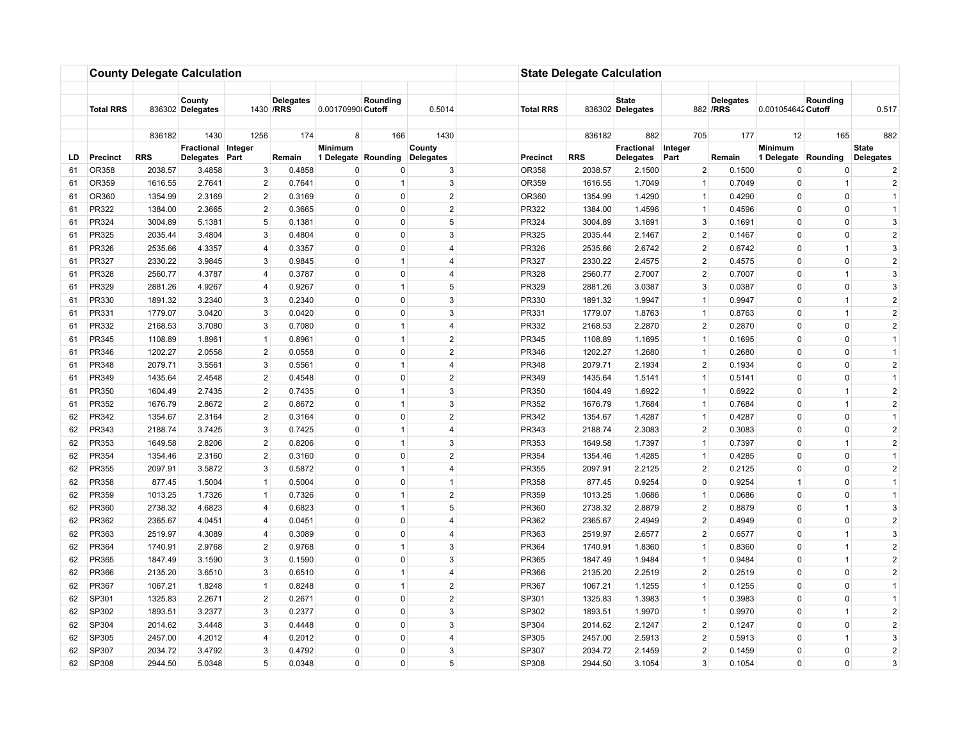|          |                  |                    | <b>County Delegate Calculation</b> |                                  |                                |                         |                          |                     |                  | <b>State Delegate Calculation</b> |                                  |                                  |                               |                                     |                             |                                  |
|----------|------------------|--------------------|------------------------------------|----------------------------------|--------------------------------|-------------------------|--------------------------|---------------------|------------------|-----------------------------------|----------------------------------|----------------------------------|-------------------------------|-------------------------------------|-----------------------------|----------------------------------|
|          |                  |                    |                                    |                                  |                                |                         |                          |                     |                  |                                   |                                  |                                  |                               |                                     |                             |                                  |
|          | <b>Total RRS</b> |                    | County<br>836302 Delegates         |                                  | <b>Delegates</b><br>1430 / RRS | 0.00170990 Cutoff       | Rounding                 | 0.5014              | <b>Total RRS</b> |                                   | <b>State</b><br>836302 Delegates |                                  | <b>Delegates</b><br>882 / RRS | 0.001054642 Cutoff                  | Rounding                    | 0.517                            |
|          |                  |                    |                                    |                                  |                                |                         |                          |                     |                  |                                   |                                  |                                  |                               |                                     |                             |                                  |
|          |                  | 836182             | 1430<br>Fractional Integer         | 1256                             | 174                            | 8<br>Minimum            | 166                      | 1430<br>County      |                  | 836182                            | 882<br>Fractional                | 705<br>Integer                   | 177                           | 12<br><b>Minimum</b>                | 165                         | 882<br><b>State</b>              |
| LD       | <b>Precinct</b>  | <b>RRS</b>         | <b>Delegates</b>                   | Part                             | Remain                         | 1 Delegate Rounding     |                          | Delegates           | <b>Precinct</b>  | <b>RRS</b>                        | <b>Delegates</b>                 | Part                             | Remain                        | 1 Delegate Rounding                 |                             | <b>Delegates</b>                 |
| 61       | OR358            | 2038.57            | 3.4858                             | 3                                | 0.4858                         | 0                       | 0                        | $\mathbf{3}$        | OR358            | 2038.57                           | 2.1500                           | $\overline{2}$                   | 0.1500                        | 0                                   | 0                           | $\overline{a}$                   |
| 61       | OR359            | 1616.55            | 2.7641                             | $\overline{2}$                   | 0.7641                         | $\pmb{0}$               | $\mathbf{1}$             | $\mathbf{3}$        | OR359            | 1616.55                           | 1.7049                           | $\mathbf{1}$                     | 0.7049                        | 0                                   | $\mathbf{1}$                | $\overline{2}$                   |
| 61       | OR360            | 1354.99            | 2.3169                             | $\overline{2}$                   | 0.3169                         | $\mathbf 0$             | $\mathbf 0$              | $\overline{2}$      | OR360            | 1354.99                           | 1.4290                           | $\mathbf{1}$                     | 0.4290                        | $\Omega$                            | $\mathbf 0$                 | $\overline{1}$                   |
| 61       | PR322            | 1384.00            | 2.3665                             | $\overline{2}$                   | 0.3665                         | $\Omega$                | $\Omega$                 | $\overline{2}$      | PR322            | 1384.00                           | 1.4596                           | $\mathbf{1}$                     | 0.4596                        | 0                                   | $\Omega$                    | $\overline{1}$                   |
| 61       | PR324            | 3004.89            | 5.1381                             | 5                                | 0.1381                         | $\Omega$                | $\Omega$                 | 5                   | PR324            | 3004.89                           | 3.1691                           | 3                                | 0.1691                        | $\Omega$                            | $\Omega$                    | 3                                |
| 61       | PR325            | 2035.44            | 3.4804                             | 3                                | 0.4804                         | 0                       | $\Omega$                 | 3                   | PR325            | 2035.44                           | 2.1467                           | $\overline{2}$                   | 0.1467                        | $\Omega$                            | 0                           | $\sqrt{2}$                       |
| 61       | PR326            | 2535.66            | 4.3357                             | $\overline{4}$                   | 0.3357                         | $\mathbf 0$             | $\mathbf{0}$             | $\overline{4}$      | PR326            | 2535.66                           | 2.6742                           | $\overline{2}$                   | 0.6742                        | $\mathbf 0$                         | $\mathbf{1}$                | 3                                |
| 61       | PR327            | 2330.22            | 3.9845                             | 3                                | 0.9845                         | $\Omega$                | $\mathbf{1}$             | $\overline{4}$      | PR327            | 2330.22                           | 2.4575                           | $\overline{2}$                   | 0.4575                        | $\Omega$                            | $\mathbf 0$                 | $\overline{2}$                   |
| 61       | PR328            | 2560.77            | 4.3787                             | $\overline{4}$                   | 0.3787                         | $\mathbf 0$             | $\Omega$                 | $\overline{4}$      | PR328            | 2560.77                           | 2.7007                           | $\overline{2}$                   | 0.7007                        | 0                                   | $\mathbf{1}$                | 3                                |
| 61       | PR329            | 2881.26            | 4.9267                             | $\overline{4}$                   | 0.9267                         | $\mathbf 0$             | $\mathbf{1}$             | 5                   | PR329            | 2881.26                           | 3.0387                           | 3                                | 0.0387                        | $\Omega$                            | $\mathbf 0$                 | 3                                |
| 61       | PR330            | 1891.32            | 3.2340                             | 3                                | 0.2340                         | $\mathbf 0$             | $\Omega$                 | 3                   | PR330            | 1891.32                           | 1.9947                           | $\mathbf{1}$                     | 0.9947                        | $\Omega$                            | $\mathbf{1}$                | $\overline{2}$                   |
| 61       | PR331            | 1779.07            | 3.0420                             | 3                                | 0.0420                         | $\mathbf 0$             | $\mathbf{0}$             | 3                   | PR331            | 1779.07                           | 1.8763                           | $\mathbf{1}$                     | 0.8763                        | 0                                   | $\mathbf{1}$                | $\overline{2}$                   |
| 61       | PR332            | 2168.53            | 3.7080                             | 3                                | 0.7080                         | $\mathbf 0$             | $\overline{1}$           | 4                   | PR332            | 2168.53                           | 2.2870                           | $\overline{2}$                   | 0.2870                        | $\Omega$                            | $\mathbf 0$                 | $\overline{2}$                   |
| 61       | PR345            | 1108.89            | 1.8961                             | $\mathbf{1}$                     | 0.8961                         | $\mathbf 0$             | $\mathbf{1}$             | $\overline{2}$      | PR345            | 1108.89                           | 1.1695                           | $\mathbf{1}$                     | 0.1695                        | $\mathbf 0$                         | $\mathbf 0$                 | $\overline{1}$                   |
| 61       | PR346            | 1202.27            | 2.0558                             | $\overline{2}$                   | 0.0558                         | $\mathbf 0$             | $\mathbf 0$              | $\overline{2}$      | PR346            | 1202.27                           | 1.2680                           | $\overline{1}$                   | 0.2680                        | $\mathbf 0$                         | $\mathbf 0$                 | $\overline{1}$                   |
| 61       | PR348            | 2079.71            | 3.5561                             | 3                                | 0.5561                         | $\mathbf 0$             | $\mathbf{1}$             | $\overline{4}$      | PR348            | 2079.71                           | 2.1934                           | $\overline{2}$                   | 0.1934                        | $\Omega$                            | $\mathbf 0$                 | $\overline{2}$                   |
| 61       | PR349            | 1435.64            | 2.4548                             | $\overline{2}$                   | 0.4548                         | $\mathbf 0$             | $\mathbf{0}$             | $\overline{2}$      | PR349            | 1435.64                           | 1.5141                           | $\mathbf{1}$                     | 0.5141                        | $\mathbf 0$                         | $\mathbf 0$                 | $\overline{1}$                   |
| 61       | PR350            | 1604.49            | 2.7435                             | 2                                | 0.7435                         | $\mathbf 0$             | $\overline{1}$           | 3                   | PR350            | 1604.49                           | 1.6922                           | $\mathbf{1}$                     | 0.6922                        | $\Omega$                            | $\mathbf{1}$                | $\overline{2}$                   |
| 61       | PR352            | 1676.79            | 2.8672                             | $\overline{2}$                   | 0.8672                         | $\pmb{0}$               | $\mathbf{1}$             | 3                   | PR352            | 1676.79                           | 1.7684                           | $\mathbf{1}$                     | 0.7684                        | $\mathbf 0$                         | $\overline{1}$              | $\overline{2}$                   |
| 62       | PR342            | 1354.67            | 2.3164                             | $\overline{2}$                   | 0.3164                         | $\mathbf 0$             | $\mathbf 0$              | $\overline{2}$      | PR342            | 1354.67                           | 1.4287                           | $\mathbf{1}$                     | 0.4287                        | $\Omega$                            | $\mathbf 0$                 | $\overline{1}$                   |
| 62       | PR343            | 2188.74            | 3.7425                             | 3                                | 0.7425                         | $\pmb{0}$               | $\mathbf{1}$             | $\overline{4}$      | PR343            | 2188.74                           | 2.3083                           | $\overline{2}$                   | 0.3083                        | $\Omega$                            | 0                           | $\sqrt{2}$                       |
| 62       | PR353            | 1649.58            | 2.8206                             | $\overline{2}$                   | 0.8206                         | $\pmb{0}$               | $\mathbf{1}$             | 3                   | PR353            | 1649.58                           | 1.7397                           | $\mathbf{1}$                     | 0.7397                        | 0                                   | $\mathbf{1}$                | $\sqrt{2}$                       |
| 62       | PR354            | 1354.46            | 2.3160                             | $\overline{2}$                   | 0.3160                         | $\Omega$                | $\Omega$                 | $\overline{2}$      | PR354            | 1354.46                           | 1.4285                           | $\mathbf{1}$                     | 0.4285                        | $\Omega$                            | $\Omega$                    | $\overline{1}$                   |
| 62       | PR355            | 2097.91            | 3.5872                             | 3                                | 0.5872                         | $\mathbf 0$             | $\mathbf{1}$             | $\overline{4}$      | PR355            | 2097.91                           | 2.2125                           | $\overline{2}$                   | 0.2125                        | 0                                   | $\Omega$                    | $\overline{2}$                   |
| 62       | PR358            | 877.45             | 1.5004                             | $\mathbf{1}$                     | 0.5004                         | $\mathbf 0$             | $\Omega$                 | 1                   | PR358            | 877.45                            | 0.9254                           | $\Omega$                         | 0.9254                        | $\overline{\mathbf{1}}$<br>$\Omega$ | $\mathbf 0$                 | $\overline{1}$<br>$\overline{1}$ |
| 62       | PR359            | 1013.25            | 1.7326                             | 1                                | 0.7326                         | $\mathbf 0$             | $\mathbf{1}$             | $\overline{2}$<br>5 | PR359            | 1013.25                           | 1.0686                           | $\mathbf{1}$                     | 0.0686                        |                                     | $\mathbf 0$                 | 3                                |
| 62       | PR360            | 2738.32            | 4.6823                             | $\overline{4}$<br>$\overline{4}$ | 0.6823                         | $\mathbf 0$<br>$\Omega$ | $\mathbf{1}$<br>$\Omega$ | 4                   | PR360            | 2738.32                           | 2.8879                           | $\overline{2}$<br>$\overline{2}$ | 0.8879                        | $\mathbf 0$<br>$\Omega$             | $\mathbf{1}$                | $\overline{2}$                   |
| 62<br>62 | PR362<br>PR363   | 2365.67<br>2519.97 | 4.0451<br>4.3089                   | $\overline{4}$                   | 0.0451<br>0.3089               | $\mathbf 0$             | 0                        | $\overline{4}$      | PR362<br>PR363   | 2365.67<br>2519.97                | 2.4949<br>2.6577                 | $\overline{2}$                   | 0.4949<br>0.6577              | $\Omega$                            | $\mathbf 0$<br>$\mathbf{1}$ | 3                                |
| 62       | PR364            | 1740.91            | 2.9768                             | $\overline{2}$                   | 0.9768                         | $\mathbf 0$             | $\overline{1}$           | 3                   | PR364            | 1740.91                           | 1.8360                           | $\mathbf{1}$                     | 0.8360                        | $\Omega$                            | $\overline{1}$              | $\overline{2}$                   |
| 62       | PR365            | 1847.49            | 3.1590                             | 3                                | 0.1590                         | $\mathbf 0$             | 0                        | 3                   | PR365            | 1847.49                           | 1.9484                           | $\mathbf{1}$                     | 0.9484                        | $\Omega$                            | $\mathbf{1}$                | $\overline{c}$                   |
| 62       | PR366            | 2135.20            | 3.6510                             | 3                                | 0.6510                         | $\mathbf 0$             | $\mathbf{1}$             | $\overline{4}$      | PR366            | 2135.20                           | 2.2519                           | $\overline{2}$                   | 0.2519                        | 0                                   | $\mathbf 0$                 | $\overline{2}$                   |
| 62       | PR367            | 1067.21            | 1.8248                             | $\mathbf{1}$                     | 0.8248                         | $\mathbf 0$             | $\mathbf{1}$             | $\overline{2}$      | PR367            | 1067.21                           | 1.1255                           | $\mathbf{1}$                     | 0.1255                        | $\Omega$                            | $\mathbf 0$                 | $\overline{1}$                   |
| 62       | SP301            | 1325.83            | 2.2671                             | $2^{\circ}$                      | 0.2671                         | $\mathbf 0$             | $\mathbf 0$              | $\overline{2}$      | SP301            | 1325.83                           | 1.3983                           | $\mathbf{1}$                     | 0.3983                        | $\mathbf 0$                         | $\mathbf 0$                 | $\overline{1}$                   |
| 62       | SP302            | 1893.51            | 3.2377                             | 3                                | 0.2377                         | $\mathbf 0$             | $\mathbf 0$              | 3                   | SP302            | 1893.51                           | 1.9970                           | $\mathbf{1}$                     | 0.9970                        | $\Omega$                            | $\overline{1}$              | $\overline{2}$                   |
| 62       | SP304            | 2014.62            | 3.4448                             | 3                                | 0.4448                         | $\mathbf 0$             | $\mathbf{0}$             | 3                   | SP304            | 2014.62                           | 2.1247                           | $\overline{2}$                   | 0.1247                        | $\Omega$                            | 0                           | $\sqrt{2}$                       |
| 62       | SP305            | 2457.00            | 4.2012                             | 4                                | 0.2012                         | $\pmb{0}$               | $\mathsf 0$              | $\overline{4}$      | SP305            | 2457.00                           | 2.5913                           | $\overline{2}$                   | 0.5913                        | 0                                   | $\mathbf{1}$                | $\mathbf{3}$                     |
| 62       | SP307            | 2034.72            | 3.4792                             | 3                                | 0.4792                         | $\mathbf 0$             | $\Omega$                 | 3                   | SP307            | 2034.72                           | 2.1459                           | $\overline{2}$                   | 0.1459                        | $\Omega$                            | $\mathbf 0$                 | $\sqrt{2}$                       |
| 62       | SP308            | 2944.50            | 5.0348                             | 5 <sup>5</sup>                   | 0.0348                         | $\Omega$                | $\Omega$                 | 5 <sup>5</sup>      | SP308            | 2944.50                           | 3.1054                           | 3                                | 0.1054                        | $\mathbf 0$                         | $\mathbf 0$                 | 3                                |
|          |                  |                    |                                    |                                  |                                |                         |                          |                     |                  |                                   |                                  |                                  |                               |                                     |                             |                                  |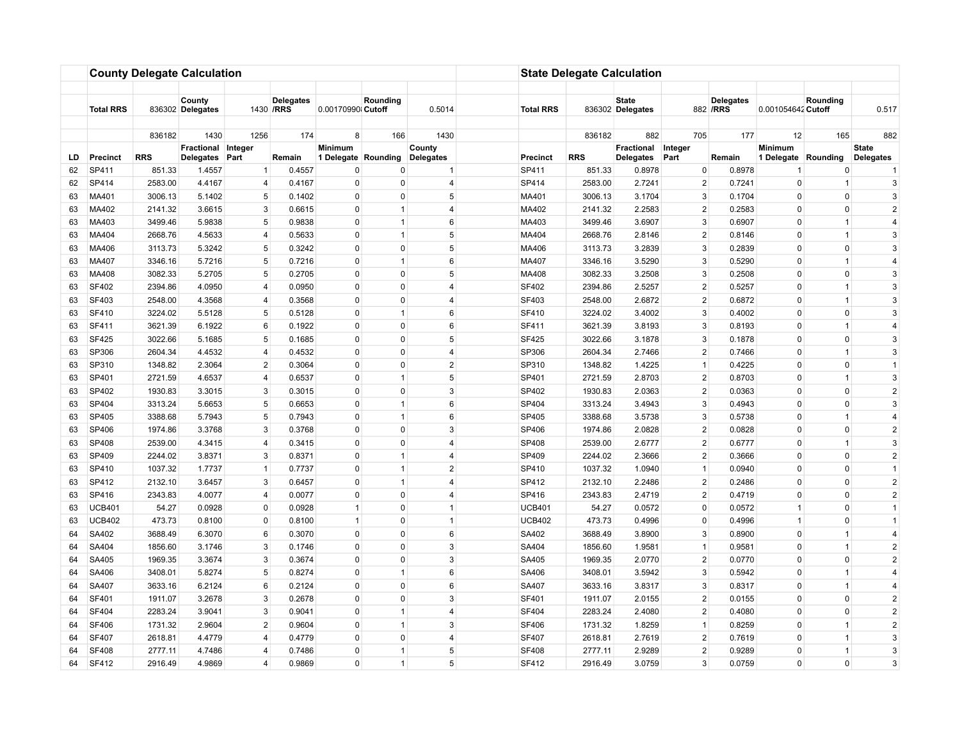|          |                        |                   | <b>County Delegate Calculation</b> |                               |                                |                             |                          |                     |                         | <b>State Delegate Calculation</b> |                                  |                                  |                               |                      |                      |                                  |
|----------|------------------------|-------------------|------------------------------------|-------------------------------|--------------------------------|-----------------------------|--------------------------|---------------------|-------------------------|-----------------------------------|----------------------------------|----------------------------------|-------------------------------|----------------------|----------------------|----------------------------------|
|          |                        |                   |                                    |                               |                                |                             |                          |                     |                         |                                   |                                  |                                  |                               |                      |                      |                                  |
|          | <b>Total RRS</b>       |                   | County<br>836302 Delegates         |                               | <b>Delegates</b><br>1430 / RRS | 0.00170990 Cutoff           | Rounding                 | 0.5014              | <b>Total RRS</b>        |                                   | <b>State</b><br>836302 Delegates |                                  | <b>Delegates</b><br>882 / RRS | 0.001054642 Cutoff   | Rounding             | 0.517                            |
|          |                        |                   |                                    | 1256                          | 174                            |                             | 166                      |                     |                         |                                   | 882                              |                                  | 177                           |                      | 165                  |                                  |
|          |                        | 836182            | 1430<br>Fractional Integer         |                               |                                | 8<br>Minimum                |                          | 1430<br>County      |                         | 836182                            | Fractional                       | 705<br>Integer                   |                               | 12<br><b>Minimum</b> |                      | 882<br><b>State</b>              |
| LD       | <b>Precinct</b>        | <b>RRS</b>        | <b>Delegates</b>                   | Part                          | Remain                         |                             | 1 Delegate Rounding      | Delegates           | <b>Precinct</b>         | <b>RRS</b>                        | <b>Delegates</b>                 | Part                             | Remain                        | 1 Delegate Rounding  |                      | <b>Delegates</b>                 |
| 62       | SP411                  | 851.33            | 1.4557                             | $\mathbf{1}$                  | 0.4557                         | 0                           | 0                        | $\mathbf{1}$        | SP411                   | 851.33                            | 0.8978                           | 0                                | 0.8978                        | $\overline{1}$       | 0                    | 1                                |
| 62       | SP414                  | 2583.00           | 4.4167                             | 4                             | 0.4167                         | $\pmb{0}$                   | $\mathsf 0$              | $\overline{4}$      | SP414                   | 2583.00                           | 2.7241                           | $\overline{2}$                   | 0.7241                        | 0                    | $\overline{1}$       | 3                                |
| 63       | MA401                  | 3006.13           | 5.1402                             | 5                             | 0.1402                         | $\mathbf 0$                 | $\mathbf 0$              | 5                   | MA401                   | 3006.13                           | 3.1704                           | 3                                | 0.1704                        | $\Omega$             | $\mathbf 0$          | 3                                |
| 63       | MA402                  | 2141.32           | 3.6615                             | 3                             | 0.6615                         | $\Omega$                    | $\mathbf{1}$             | $\overline{4}$      | MA402                   | 2141.32                           | 2.2583                           | $\overline{2}$                   | 0.2583                        | 0                    | $\Omega$             | $\overline{2}$                   |
| 63       | MA403                  | 3499.46           | 5.9838                             | 5                             | 0.9838                         | $\Omega$                    | $\overline{1}$           | 6                   | MA403                   | 3499.46                           | 3.6907                           | 3                                | 0.6907                        | $\Omega$             | $\overline{1}$       | $\overline{4}$                   |
| 63       | MA404                  | 2668.76           | 4.5633                             | 4                             | 0.5633                         | 0                           | $\mathbf{1}$             |                     | 5<br>MA404              | 2668.76                           | 2.8146                           | $\overline{2}$                   | 0.8146                        | $\Omega$             | $\mathbf{1}$         | 3                                |
| 63       | MA406                  | 3113.73           | 5.3242                             | $\,$ 5 $\,$                   | 0.3242                         | $\mathbf 0$                 | $\mathbf{0}$             | 5                   | MA406                   | 3113.73                           | 3.2839                           | 3                                | 0.2839                        | $\mathbf 0$          | $\mathbf 0$          | 3                                |
| 63       | MA407                  | 3346.16           | 5.7216                             | 5                             | 0.7216                         | $\Omega$                    | $\mathbf{1}$             | 6                   | MA407                   | 3346.16                           | 3.5290                           | 3                                | 0.5290                        | $\Omega$             | $\mathbf{1}$         | $\overline{4}$                   |
| 63       | MA408                  | 3082.33           | 5.2705                             | 5 <sup>5</sup>                | 0.2705                         | $\mathbf 0$                 | $\Omega$                 |                     | 5 <sup>5</sup><br>MA408 | 3082.33                           | 3.2508                           | 3                                | 0.2508                        | 0                    | $\Omega$             | 3                                |
| 63       | <b>SF402</b>           | 2394.86           | 4.0950                             | $\overline{4}$                | 0.0950                         | $\mathbf 0$                 | $\Omega$                 | 4                   | SF402                   | 2394.86                           | 2.5257                           | $\overline{2}$                   | 0.5257                        | $\Omega$             | $\mathbf{1}$         | 3                                |
| 63       | SF403                  | 2548.00           | 4.3568                             | $\overline{4}$                | 0.3568                         | $\mathbf 0$                 | 0                        | $\overline{4}$      | SF403                   | 2548.00                           | 2.6872                           | $\overline{2}$                   | 0.6872                        | $\Omega$             | $\mathbf{1}$         | 3                                |
| 63       | SF410                  | 3224.02           | 5.5128                             | 5                             | 0.5128                         | $\mathbf 0$                 | $\mathbf{1}$             | 6                   | SF410                   | 3224.02                           | 3.4002                           | 3                                | 0.4002                        | 0                    | $\mathbf 0$          | 3                                |
| 63       | SF411                  | 3621.39           | 6.1922                             | 6                             | 0.1922                         | $\mathbf 0$                 | $\mathbf{0}$             | 6                   | SF411                   | 3621.39                           | 3.8193                           | 3                                | 0.8193                        | $\Omega$             | $\mathbf{1}$         | $\overline{4}$                   |
| 63       | <b>SF425</b>           | 3022.66           | 5.1685                             | 5 <sup>5</sup>                | 0.1685                         | $\mathbf 0$                 | $\mathbf 0$              | 5                   | <b>SF425</b>            | 3022.66                           | 3.1878                           | 3                                | 0.1878                        | $\Omega$             | $\mathbf 0$          | 3                                |
| 63       | SP306                  | 2604.34           | 4.4532                             | $\overline{4}$                | 0.4532                         | $\mathbf 0$                 | $\mathbf 0$              | 4                   | SP306                   | 2604.34                           | 2.7466                           | $\overline{2}$                   | 0.7466                        | 0                    | $\overline{1}$       | 3                                |
| 63       | SP310                  | 1348.82           | 2.3064                             | $\overline{2}$                | 0.3064                         | $\mathbf 0$                 | $\mathbf 0$              | $\overline{2}$      | SP310                   | 1348.82                           | 1.4225                           | $\mathbf{1}$                     | 0.4225                        | $\Omega$             | $\mathbf 0$          | $\overline{1}$                   |
| 63       | SP401                  | 2721.59           | 4.6537                             | 4                             | 0.6537                         | $\mathbf 0$                 | $\mathbf{1}$             | 5                   | SP401                   | 2721.59                           | 2.8703                           | $\overline{2}$                   | 0.8703                        | $\mathbf 0$          | $\overline{1}$       | 3                                |
| 63       | SP402                  | 1930.83           | 3.3015                             | 3                             | 0.3015                         | $\mathbf 0$                 | $\mathbf 0$              | 3                   | SP402                   | 1930.83                           | 2.0363                           | $\overline{2}$                   | 0.0363                        | $\Omega$             | $\mathbf 0$          | $\overline{2}$                   |
| 63       | SP404                  | 3313.24           | 5.6653                             | $5\phantom{.0}$               | 0.6653                         | $\pmb{0}$                   | $\mathbf{1}$             | 6                   | SP404                   | 3313.24                           | 3.4943                           | 3                                | 0.4943                        | $\mathbf 0$          | $\mathbf 0$          | 3                                |
| 63       | SP405                  | 3388.68           | 5.7943                             | 5                             | 0.7943                         | $\mathbf 0$                 | $\mathbf{1}$             | 6                   | SP405                   | 3388.68                           | 3.5738                           | 3                                | 0.5738                        | $\Omega$             | $\overline{1}$       | $\overline{4}$                   |
| 63       | SP406                  | 1974.86           | 3.3768                             | 3                             | 0.3768                         | $\pmb{0}$                   | $\mathbf 0$              | 3                   | SP406                   | 1974.86                           | 2.0828                           | $\overline{2}$                   | 0.0828                        | $\Omega$             | 0                    | $\sqrt{2}$                       |
| 63       | SP408                  | 2539.00           | 4.3415                             | 4                             | 0.3415                         | $\pmb{0}$                   | $\mathbf 0$              | $\overline{4}$      | SP408                   | 2539.00                           | 2.6777                           | $\overline{2}$                   | 0.6777                        | 0                    | $\mathbf{1}$         | $\mathbf{3}$                     |
| 63       | SP409                  | 2244.02           | 3.8371                             | 3                             | 0.8371                         | $\Omega$                    | $\overline{1}$           | 4                   | SP409                   | 2244.02                           | 2.3666                           | $\overline{2}$                   | 0.3666                        | $\Omega$             | $\Omega$<br>$\Omega$ | $\overline{2}$<br>$\overline{1}$ |
| 63       | SP410                  | 1037.32           | 1.7737                             | $\mathbf{1}$                  | 0.7737                         | $\Omega$                    | $\mathbf{1}$             | $\overline{2}$<br>4 | SP410                   | 1037.32                           | 1.0940                           | $\mathbf{1}$                     | 0.0940                        | $\Omega$<br>$\Omega$ |                      |                                  |
| 63       | SP412                  | 2132.10           | 3.6457                             | 3                             | 0.6457                         | $\mathbf 0$                 | $\mathbf{1}$<br>$\Omega$ | $\overline{4}$      | SP412                   | 2132.10                           | 2.2486                           | $\overline{2}$<br>$\overline{2}$ | 0.2486                        | $\Omega$             | $\Omega$             | $\overline{2}$<br>$\overline{2}$ |
| 63       | SP416                  | 2343.83           | 4.0077                             | $\overline{4}$<br>$\mathbf 0$ | 0.0077                         | $\mathbf 0$<br>$\mathbf{1}$ | $\mathbf{0}$             | $\mathbf{1}$        | SP416                   | 2343.83                           | 2.4719                           |                                  | 0.4719                        | $\overline{1}$       | 0<br>$\mathbf 0$     | $\overline{1}$                   |
| 63       | <b>UCB401</b>          | 54.27             | 0.0928                             | 0                             | 0.0928                         | $\mathbf{1}$                | $\Omega$                 | 1                   | <b>UCB401</b>           | 54.27                             | 0.0572                           | $\mathbf 0$<br>$\Omega$          | 0.0572                        | $\overline{1}$       | 0                    | $\overline{1}$                   |
| 63<br>64 | <b>UCB402</b><br>SA402 | 473.73<br>3688.49 | 0.8100<br>6.3070                   | 6                             | 0.8100<br>0.3070               | $\mathbf 0$                 | 0                        | 6                   | <b>UCB402</b><br>SA402  | 473.73<br>3688.49                 | 0.4996<br>3.8900                 | 3                                | 0.4996<br>0.8900              | $\Omega$             | $\mathbf{1}$         | $\overline{4}$                   |
| 64       | SA404                  | 1856.60           | 3.1746                             | 3                             | 0.1746                         | $\mathbf 0$                 | $\Omega$                 | 3                   | SA404                   | 1856.60                           | 1.9581                           | $\mathbf{1}$                     | 0.9581                        | $\Omega$             | $\overline{1}$       | $\overline{2}$                   |
| 64       | SA405                  | 1969.35           | 3.3674                             | 3                             | 0.3674                         | $\mathbf 0$                 | 0                        | 3                   | SA405                   | 1969.35                           | 2.0770                           | $\overline{2}$                   | 0.0770                        | $\Omega$             | $\mathbf 0$          | $\overline{c}$                   |
|          | SA406                  | 3408.01           | 5.8274                             | 5                             | 0.8274                         | $\mathbf 0$                 | $\mathbf{1}$             | 6                   | SA406                   | 3408.01                           | 3.5942                           | 3                                | 0.5942                        | 0                    | $\mathbf{1}$         | $\overline{4}$                   |
| 64<br>64 | SA407                  | 3633.16           | 6.2124                             | 6                             | 0.2124                         | $\mathbf 0$                 | $\mathbf{0}$             | 6                   | SA407                   | 3633.16                           | 3.8317                           | 3                                | 0.8317                        | $\Omega$             | $\mathbf{1}$         | $\overline{4}$                   |
| 64       | SF401                  | 1911.07           | 3.2678                             | 3                             | 0.2678                         | $\mathbf 0$                 | $\mathbf 0$              | 3                   | SF401                   | 1911.07                           | 2.0155                           | $\overline{2}$                   | 0.0155                        | $\Omega$             | $\mathbf 0$          | $\overline{2}$                   |
| 64       | SF404                  | 2283.24           | 3.9041                             | 3                             | 0.9041                         | $\mathbf 0$                 | $\overline{1}$           | 4                   | SF404                   | 2283.24                           | 2.4080                           | $\overline{2}$                   | 0.4080                        | $\Omega$             | $\mathbf 0$          | $\overline{2}$                   |
| 64       | <b>SF406</b>           | 1731.32           | 2.9604                             | $\overline{2}$                | 0.9604                         | $\mathbf 0$                 | $\mathbf{1}$             | 3                   | <b>SF406</b>            | 1731.32                           | 1.8259                           | $\mathbf{1}$                     | 0.8259                        | $\Omega$             | $\mathbf{1}$         | $\sqrt{2}$                       |
| 64       | <b>SF407</b>           | 2618.81           | 4.4779                             | 4                             | 0.4779                         | $\pmb{0}$                   | $\mathbf 0$              | $\overline{4}$      | <b>SF407</b>            | 2618.81                           | 2.7619                           | $\overline{2}$                   | 0.7619                        | 0                    | $\mathbf{1}$         | $\mathbf{3}$                     |
| 64       | <b>SF408</b>           | 2777.11           | 4.7486                             | $\overline{4}$                | 0.7486                         | $\mathbf 0$                 | $\overline{1}$           | 5                   | <b>SF408</b>            | 2777.11                           | 2.9289                           | $\overline{2}$                   | 0.9289                        | $\Omega$             | $\mathbf{1}$         | 3                                |
| 64       | SF412                  | 2916.49           | 4.9869                             | $\overline{4}$                | 0.9869                         | $\mathbf 0$                 | $\mathbf{1}$             |                     | 5 <sup>5</sup><br>SF412 | 2916.49                           | 3.0759                           | 3                                | 0.0759                        | $\mathbf 0$          | $\mathbf 0$          | 3                                |
|          |                        |                   |                                    |                               |                                |                             |                          |                     |                         |                                   |                                  |                                  |                               |                      |                      |                                  |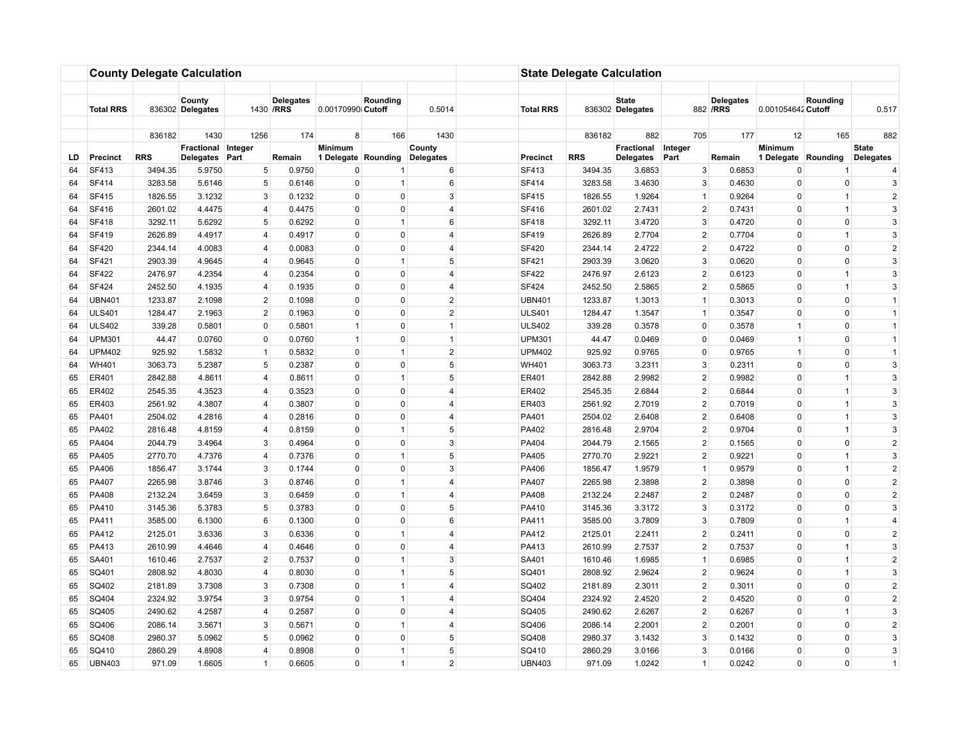|    |                  |            | <b>County Delegate Calculation</b>     |                |                               |                                       |                |                     |                                 | <b>State Delegate Calculation</b> |                                  |                 |                               |                                       |                |                                  |
|----|------------------|------------|----------------------------------------|----------------|-------------------------------|---------------------------------------|----------------|---------------------|---------------------------------|-----------------------------------|----------------------------------|-----------------|-------------------------------|---------------------------------------|----------------|----------------------------------|
|    | <b>Total RRS</b> |            | County<br>836302 Delegates             |                | <b>Delegates</b><br>1430 /RRS | 0.00170990 Cutoff                     | Rounding       | 0.5014              | <b>Total RRS</b>                |                                   | <b>State</b><br>836302 Delegates |                 | <b>Delegates</b><br>882 / RRS | 0.001054642 Cutoff                    | Rounding       | 0.517                            |
|    |                  | 836182     | 1430                                   | 1256           | 174                           | 8                                     | 166            | 1430                |                                 | 836182                            | 882                              | 705             | 177                           | 12                                    | 165            | 882                              |
| LD | <b>Precinct</b>  | <b>RRS</b> | Fractional Integer<br><b>Delegates</b> | Part           | Remain                        | <b>Minimum</b><br>1 Delegate Rounding |                | County<br>Delegates | Precinct                        | <b>RRS</b>                        | Fractional<br><b>Delegates</b>   | Integer<br>Part | Remain                        | <b>Minimum</b><br>1 Delegate Rounding |                | <b>State</b><br><b>Delegates</b> |
| 64 | SF413            | 3494.35    | 5.9750                                 | $\,$ 5 $\,$    | 0.9750                        | 0                                     | -1             | 6                   | SF413                           | 3494.35                           | 3.6853                           | 3               | 0.6853                        | $\Omega$                              |                | 4                                |
| 64 | SF414            | 3283.58    | 5.6146                                 | 5              | 0.6146                        | $\mathbf 0$                           | $\mathbf{1}$   | 6                   | SF414                           | 3283.58                           | 3.4630                           | 3               | 0.4630                        | 0                                     | $\mathbf 0$    | 3                                |
| 64 | <b>SF415</b>     | 1826.55    | 3.1232                                 | 3              | 0.1232                        | $\mathbf 0$                           | $\mathbf{0}$   | 3                   | <b>SF415</b>                    | 1826.55                           | 1.9264                           | $\mathbf{1}$    | 0.9264                        | $\Omega$                              | $\mathbf{1}$   | $\overline{2}$                   |
| 64 | SF416            | 2601.02    | 4.4475                                 | $\overline{4}$ | 0.4475                        | $\Omega$                              | $\Omega$       | $\overline{4}$      | SF416                           | 2601.02                           | 2.7431                           | 2               | 0.7431                        | $\Omega$                              | $\overline{1}$ | 3                                |
| 64 | <b>SF418</b>     | 3292.11    | 5.6292                                 | 5              | 0.6292                        | $\mathbf 0$                           | $\overline{1}$ | 6                   | <b>SF418</b>                    | 3292.11                           | 3.4720                           | 3               | 0.4720                        | $\Omega$                              | $\mathbf 0$    | 3                                |
| 64 | SF419            | 2626.89    | 4.4917                                 | $\overline{4}$ | 0.4917                        | $\mathbf 0$                           | $\Omega$       | $\overline{4}$      | <b>SF419</b>                    | 2626.89                           | 2.7704                           | 2               | 0.7704                        | $\Omega$                              | $\mathbf{1}$   | 3                                |
| 64 | <b>SF420</b>     | 2344.14    | 4.0083                                 | $\overline{4}$ | 0.0083                        | $\pmb{0}$                             | $\mathbf{0}$   | 4                   | <b>SF420</b>                    | 2344.14                           | 2.4722                           | $\overline{2}$  | 0.4722                        | $\Omega$                              | 0              | $\overline{2}$                   |
| 64 | SF421            | 2903.39    | 4.9645                                 | 4              | 0.9645                        | $\mathbf 0$                           | $\mathbf{1}$   | 5                   | SF421                           | 2903.39                           | 3.0620                           | 3               | 0.0620                        | $\Omega$                              | $\mathbf 0$    | 3                                |
| 64 | <b>SF422</b>     | 2476.97    | 4.2354                                 | $\overline{4}$ | 0.2354                        | $\mathbf 0$                           | $\mathbf 0$    | $\overline{4}$      | <b>SF422</b>                    | 2476.97                           | 2.6123                           | $\overline{2}$  | 0.6123                        | $\Omega$                              | $\mathbf{1}$   | 3                                |
| 64 | <b>SF424</b>     | 2452.50    | 4.1935                                 | $\overline{4}$ | 0.1935                        | $\mathbf 0$                           | $\mathbf 0$    | 4                   | <b>SF424</b>                    | 2452.50                           | 2.5865                           | $\overline{2}$  | 0.5865                        | $\Omega$                              | $\overline{1}$ | 3                                |
| 64 | <b>UBN401</b>    | 1233.87    | 2.1098                                 | $2^{\circ}$    | 0.1098                        | $\mathbf 0$                           | $\mathbf 0$    | $\overline{2}$      | <b>UBN401</b>                   | 1233.87                           | 1.3013                           | $\mathbf{1}$    | 0.3013                        | $\Omega$                              | $\mathbf 0$    | $\overline{1}$                   |
| 64 | <b>ULS401</b>    | 1284.47    | 2.1963                                 | $\overline{2}$ | 0.1963                        | $\pmb{0}$                             | $\mathbf 0$    |                     | $\overline{2}$<br><b>ULS401</b> | 1284.47                           | 1.3547                           | $\mathbf{1}$    | 0.3547                        | 0                                     | 0              | $\mathbf{1}$                     |
| 64 | <b>ULS402</b>    | 339.28     | 0.5801                                 | $\mathsf 0$    | 0.5801                        | $\mathbf{1}$                          | $\mathsf 0$    | $\overline{1}$      | <b>ULS402</b>                   | 339.28                            | 0.3578                           | $\Omega$        | 0.3578                        | $\overline{1}$                        | 0              | $\overline{1}$                   |
| 64 | <b>UPM301</b>    | 44.47      | 0.0760                                 | $\mathbf 0$    | 0.0760                        | $\mathbf{1}$                          | $\Omega$       | $\overline{1}$      | <b>UPM301</b>                   | 44.47                             | 0.0469                           | $\Omega$        | 0.0469                        | $\overline{1}$                        | $\Omega$       | $\overline{1}$                   |
| 64 | <b>UPM402</b>    | 925.92     | 1.5832                                 | $\mathbf{1}$   | 0.5832                        | $\mathbf 0$                           | $\overline{1}$ | $\overline{2}$      | <b>UPM402</b>                   | 925.92                            | 0.9765                           | $\mathbf 0$     | 0.9765                        | $\overline{1}$                        | $\mathbf 0$    | $\overline{1}$                   |
| 64 | <b>WH401</b>     | 3063.73    | 5.2387                                 | 5              | 0.2387                        | $\mathbf 0$                           | $\Omega$       | 5                   | <b>WH401</b>                    | 3063.73                           | 3.2311                           | 3               | 0.2311                        | $\Omega$                              | $\mathbf 0$    | 3                                |
| 65 | ER401            | 2842.88    | 4.8611                                 | $\overline{4}$ | 0.8611                        | $\mathbf 0$                           | $\mathbf{1}$   | 5                   | ER401                           | 2842.88                           | 2.9982                           | $\overline{2}$  | 0.9982                        | $\mathbf 0$                           | $\mathbf{1}$   | 3                                |
| 65 | ER402            | 2545.35    | 4.3523                                 | 4              | 0.3523                        | $\mathbf 0$                           | $\mathbf{0}$   | 4                   | ER402                           | 2545.35                           | 2.6844                           | $\overline{2}$  | 0.6844                        | $\Omega$                              | $\mathbf{1}$   | 3                                |
| 65 | ER403            | 2561.92    | 4.3807                                 | $\overline{4}$ | 0.3807                        | $\mathbf 0$                           | 0              | $\overline{4}$      | ER403                           | 2561.92                           | 2.7019                           | $\overline{2}$  | 0.7019                        | $\Omega$                              | $\mathbf{1}$   | 3                                |
| 65 | PA401            | 2504.02    | 4.2816                                 | 4              | 0.2816                        | $\mathbf 0$                           | 0              | 4                   | PA401                           | 2504.02                           | 2.6408                           | 2               | 0.6408                        | 0                                     | $\mathbf{1}$   | 3                                |
| 65 | PA402            | 2816.48    | 4.8159                                 | $\overline{4}$ | 0.8159                        | $\mathbf 0$                           | $\mathbf{1}$   | 5                   | PA402                           | 2816.48                           | 2.9704                           | $\overline{2}$  | 0.9704                        | $\Omega$                              | $\mathbf{1}$   | $\mathbf{3}$                     |
| 65 | PA404            | 2044.79    | 3.4964                                 | 3              | 0.4964                        | $\pmb{0}$                             | $\mathbf 0$    | 3                   | PA404                           | 2044.79                           | 2.1565                           | $\overline{2}$  | 0.1565                        | $\mathbf 0$                           | 0              | $\overline{2}$                   |
| 65 | PA405            | 2770.70    | 4.7376                                 | $\overline{4}$ | 0.7376                        | $\mathbf 0$                           | $\overline{1}$ | 5                   | PA405                           | 2770.70                           | 2.9221                           | $\overline{2}$  | 0.9221                        | $\Omega$                              | $\mathbf{1}$   | 3                                |
| 65 | PA406            | 1856.47    | 3.1744                                 | 3              | 0.1744                        | $\mathbf 0$                           | $\mathbf 0$    | 3                   | PA406                           | 1856.47                           | 1.9579                           | $\mathbf{1}$    | 0.9579                        | $\Omega$                              | $\overline{1}$ | $\overline{2}$                   |
| 65 | PA407            | 2265.98    | 3.8746                                 | 3              | 0.8746                        | $\mathbf 0$                           | $\overline{1}$ | 4                   | PA407                           | 2265.98                           | 2.3898                           | $\overline{2}$  | 0.3898                        | $\Omega$                              | $\mathbf 0$    | $\overline{2}$                   |
| 65 | PA408            | 2132.24    | 3.6459                                 | 3              | 0.6459                        | $\Omega$                              | $\mathbf{1}$   | 4                   | PA408                           | 2132.24                           | 2.2487                           | $\overline{2}$  | 0.2487                        | $\Omega$                              | $\Omega$       | $\overline{c}$                   |
| 65 | PA410            | 3145.36    | 5.3783                                 | 5              | 0.3783                        | $\pmb{0}$                             | $\mathbf 0$    | 5                   | PA410                           | 3145.36                           | 3.3172                           | 3               | 0.3172                        | 0                                     | 0              | $\mathbf{3}$                     |
| 65 | PA411            | 3585.00    | 6.1300                                 | 6              | 0.1300                        | $\Omega$                              | $\Omega$       | 6                   | PA411                           | 3585.00                           | 3.7809                           | 3               | 0.7809                        | $\Omega$                              | $\overline{1}$ | $\overline{4}$                   |
| 65 | PA412            | 2125.01    | 3.6336                                 | 3              | 0.6336                        | $\mathbf 0$                           | $\mathbf{1}$   | $\overline{4}$      | PA412                           | 2125.01                           | 2.2411                           | $\overline{2}$  | 0.2411                        | $\Omega$                              | $\Omega$       | $\overline{2}$                   |
| 65 | PA413            | 2610.99    | 4.4646                                 | $\overline{4}$ | 0.4646                        | $\mathbf 0$                           | $\Omega$       | 4                   | PA413                           | 2610.99                           | 2.7537                           | $\overline{2}$  | 0.7537                        | $\Omega$                              | $\overline{1}$ | 3                                |
| 65 | SA401            | 1610.46    | 2.7537                                 | $\overline{2}$ | 0.7537                        | $\mathbf 0$                           | $\mathbf{1}$   | 3                   | SA401                           | 1610.46                           | 1.6985                           | $\mathbf{1}$    | 0.6985                        | $\Omega$                              | $\mathbf{1}$   | $\overline{2}$                   |
| 65 | SQ401            | 2808.92    | 4.8030                                 | $\overline{4}$ | 0.8030                        | $\mathbf 0$                           | $\mathbf{1}$   | 5                   | SQ401                           | 2808.92                           | 2.9624                           | $\overline{2}$  | 0.9624                        | 0                                     | $\mathbf{1}$   | 3                                |
| 65 | SQ402            | 2181.89    | 3.7308                                 | 3              | 0.7308                        | $\mathbf 0$                           | $\mathbf{1}$   | 4                   | SQ402                           | 2181.89                           | 2.3011                           | $\overline{2}$  | 0.3011                        | $\Omega$                              | $\mathbf 0$    | $\overline{2}$                   |
| 65 | SQ404            | 2324.92    | 3.9754                                 | 3              | 0.9754                        | $\mathbf 0$                           | $\mathbf{1}$   | 4                   | SQ404                           | 2324.92                           | 2.4520                           | $\overline{2}$  | 0.4520                        | $\Omega$                              | $\mathbf 0$    | $\overline{2}$                   |
| 65 | SQ405            | 2490.62    | 4.2587                                 | $\overline{4}$ | 0.2587                        | $\mathbf 0$                           | $\mathbf 0$    | 4                   | SQ405                           | 2490.62                           | 2.6267                           | $\overline{2}$  | 0.6267                        | $\Omega$                              | $\overline{1}$ | 3                                |
| 65 | SQ406            | 2086.14    | 3.5671                                 | 3              | 0.5671                        | $\mathbf 0$                           | $\mathbf{1}$   | 4                   | SQ406                           | 2086.14                           | 2.2001                           | $\overline{2}$  | 0.2001                        | $\Omega$                              | 0              | $\sqrt{2}$                       |
| 65 | SQ408            | 2980.37    | 5.0962                                 | 5              | 0.0962                        | $\pmb{0}$                             | $\mathsf 0$    | 5                   | SQ408                           | 2980.37                           | 3.1432                           | 3               | 0.1432                        | 0                                     | 0              | $\mathbf{3}$                     |
| 65 | SQ410            | 2860.29    | 4.8908                                 | $\overline{4}$ | 0.8908                        | $\mathbf 0$                           | $\overline{1}$ | 5                   | SQ410                           | 2860.29                           | 3.0166                           | 3               | 0.0166                        | $\Omega$                              | $\Omega$       | 3                                |
| 65 | <b>UBN403</b>    | 971.09     | 1.6605                                 | $\mathbf{1}$   | 0.6605                        | $\mathbf 0$                           | $\mathbf{1}$   |                     | $\overline{2}$<br><b>UBN403</b> | 971.09                            | 1.0242                           | $\mathbf{1}$    | 0.0242                        | $\mathbf 0$                           | $\mathbf 0$    | $\overline{1}$                   |